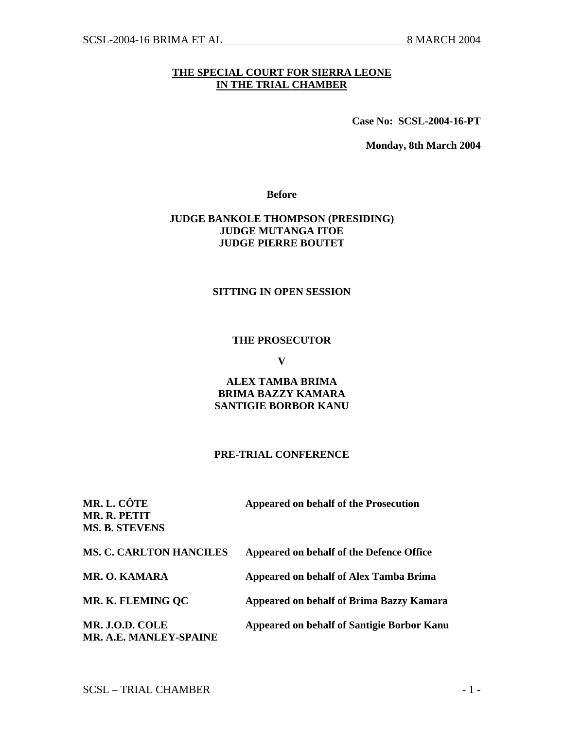# **THE SPECIAL COURT FOR SIERRA LEONE IN THE TRIAL CHAMBER**

**Case No: SCSL-2004-16-PT** 

**Monday, 8th March 2004** 

**Before** 

## **JUDGE BANKOLE THOMPSON (PRESIDING) JUDGE MUTANGA ITOE JUDGE PIERRE BOUTET**

#### **SITTING IN OPEN SESSION**

#### **THE PROSECUTOR**

**V** 

## **ALEX TAMBA BRIMA BRIMA BAZZY KAMARA SANTIGIE BORBOR KANU**

#### **PRE-TRIAL CONFERENCE**

| MR. L. CÔTE<br>MR. R. PETIT<br><b>MS. B. STEVENS</b> | Appeared on behalf of the Prosecution           |
|------------------------------------------------------|-------------------------------------------------|
| <b>MS. C. CARLTON HANCILES</b>                       | Appeared on behalf of the Defence Office        |
| <b>MR. O. KAMARA</b>                                 | <b>Appeared on behalf of Alex Tamba Brima</b>   |
| MR. K. FLEMING OC                                    | <b>Appeared on behalf of Brima Bazzy Kamara</b> |
| MR. J.O.D. COLE<br>MR. A.E. MANLEY-SPAINE            | Appeared on behalf of Santigie Borbor Kanu      |

 $SCSL - TRIAL CHAMBER$  - 1 -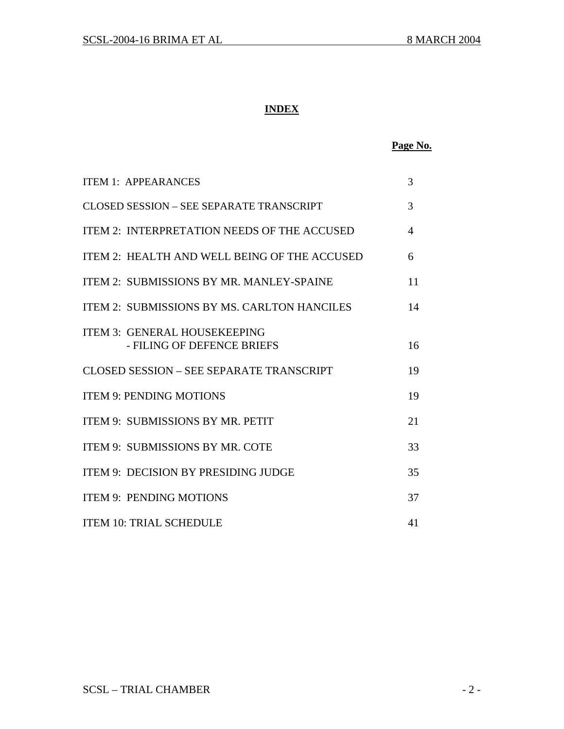# **INDEX**

# **Page No.**

| <b>ITEM 1: APPEARANCES</b>                                        | 3  |
|-------------------------------------------------------------------|----|
| CLOSED SESSION – SEE SEPARATE TRANSCRIPT                          | 3  |
| ITEM 2: INTERPRETATION NEEDS OF THE ACCUSED                       | 4  |
| ITEM 2: HEALTH AND WELL BEING OF THE ACCUSED                      | 6  |
| ITEM 2: SUBMISSIONS BY MR. MANLEY-SPAINE                          | 11 |
| <b>ITEM 2: SUBMISSIONS BY MS, CARLTON HANCILES</b>                | 14 |
| <b>ITEM 3: GENERAL HOUSEKEEPING</b><br>- FILING OF DEFENCE BRIEFS | 16 |
| CLOSED SESSION – SEE SEPARATE TRANSCRIPT                          | 19 |
| <b>ITEM 9: PENDING MOTIONS</b>                                    | 19 |
| <b>ITEM 9: SUBMISSIONS BY MR. PETIT</b>                           | 21 |
| <b>ITEM 9: SUBMISSIONS BY MR. COTE</b>                            | 33 |
| <b>ITEM 9: DECISION BY PRESIDING JUDGE</b>                        | 35 |
| <b>ITEM 9: PENDING MOTIONS</b>                                    | 37 |
| <b>ITEM 10: TRIAL SCHEDULE</b>                                    | 41 |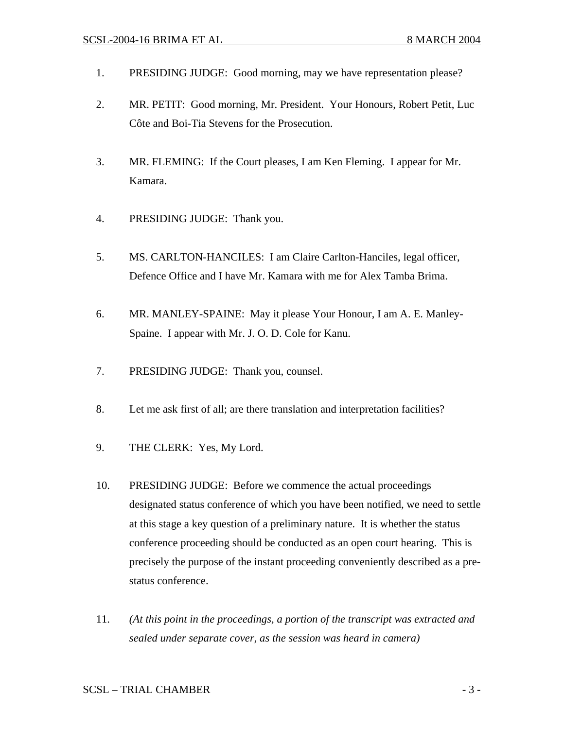- 1. PRESIDING JUDGE: Good morning, may we have representation please?
- 2. MR. PETIT: Good morning, Mr. President. Your Honours, Robert Petit, Luc Côte and Boi-Tia Stevens for the Prosecution.
- 3. MR. FLEMING: If the Court pleases, I am Ken Fleming. I appear for Mr. Kamara.
- 4. PRESIDING JUDGE: Thank you.
- 5. MS. CARLTON-HANCILES: I am Claire Carlton-Hanciles, legal officer, Defence Office and I have Mr. Kamara with me for Alex Tamba Brima.
- 6. MR. MANLEY-SPAINE: May it please Your Honour, I am A. E. Manley-Spaine. I appear with Mr. J. O. D. Cole for Kanu.
- 7. PRESIDING JUDGE: Thank you, counsel.
- 8. Let me ask first of all; are there translation and interpretation facilities?
- 9. THE CLERK: Yes, My Lord.
- 10. PRESIDING JUDGE: Before we commence the actual proceedings designated status conference of which you have been notified, we need to settle at this stage a key question of a preliminary nature. It is whether the status conference proceeding should be conducted as an open court hearing. This is precisely the purpose of the instant proceeding conveniently described as a prestatus conference.
- 11. *(At this point in the proceedings, a portion of the transcript was extracted and sealed under separate cover, as the session was heard in camera)*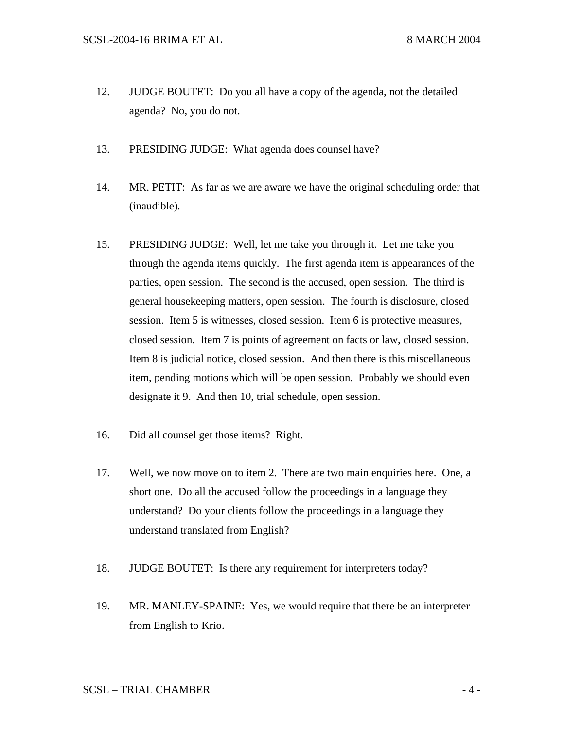- 12. JUDGE BOUTET: Do you all have a copy of the agenda, not the detailed agenda? No, you do not.
- 13. PRESIDING JUDGE: What agenda does counsel have?
- 14. MR. PETIT: As far as we are aware we have the original scheduling order that (inaudible)*.*
- 15. PRESIDING JUDGE: Well, let me take you through it. Let me take you through the agenda items quickly. The first agenda item is appearances of the parties, open session. The second is the accused, open session. The third is general housekeeping matters, open session. The fourth is disclosure, closed session. Item 5 is witnesses, closed session. Item 6 is protective measures, closed session. Item 7 is points of agreement on facts or law, closed session. Item 8 is judicial notice, closed session. And then there is this miscellaneous item, pending motions which will be open session. Probably we should even designate it 9. And then 10, trial schedule, open session.
- 16. Did all counsel get those items? Right.
- 17. Well, we now move on to item 2. There are two main enquiries here. One, a short one. Do all the accused follow the proceedings in a language they understand? Do your clients follow the proceedings in a language they understand translated from English?
- 18. JUDGE BOUTET: Is there any requirement for interpreters today?
- 19. MR. MANLEY-SPAINE: Yes, we would require that there be an interpreter from English to Krio.

# $SCSL - TRIAL CHAMBER$   $-4 -$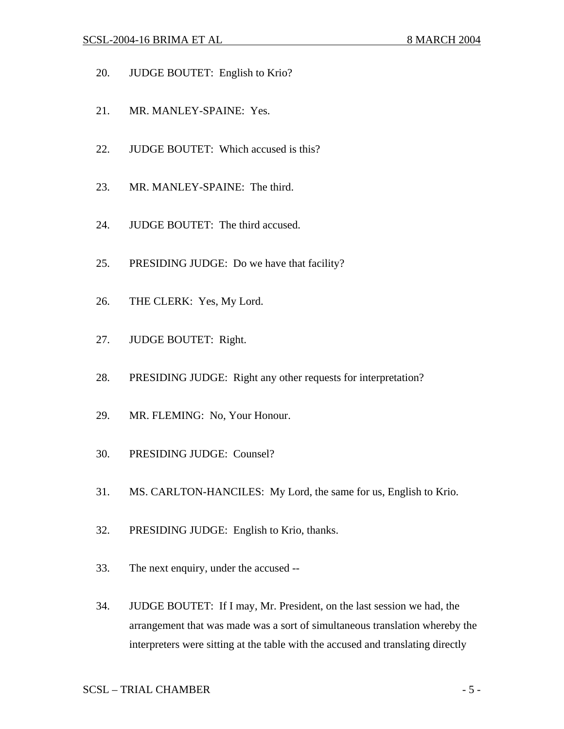- 20. JUDGE BOUTET: English to Krio?
- 21. MR. MANLEY-SPAINE: Yes.
- 22. JUDGE BOUTET: Which accused is this?
- 23. MR. MANLEY-SPAINE: The third.
- 24. JUDGE BOUTET: The third accused.
- 25. PRESIDING JUDGE: Do we have that facility?
- 26. THE CLERK: Yes, My Lord.
- 27. JUDGE BOUTET: Right.
- 28. PRESIDING JUDGE: Right any other requests for interpretation?
- 29. MR. FLEMING: No, Your Honour.
- 30. PRESIDING JUDGE: Counsel?
- 31. MS. CARLTON-HANCILES: My Lord, the same for us, English to Krio.
- 32. PRESIDING JUDGE: English to Krio, thanks.
- 33. The next enquiry, under the accused --
- 34. JUDGE BOUTET: If I may, Mr. President, on the last session we had, the arrangement that was made was a sort of simultaneous translation whereby the interpreters were sitting at the table with the accused and translating directly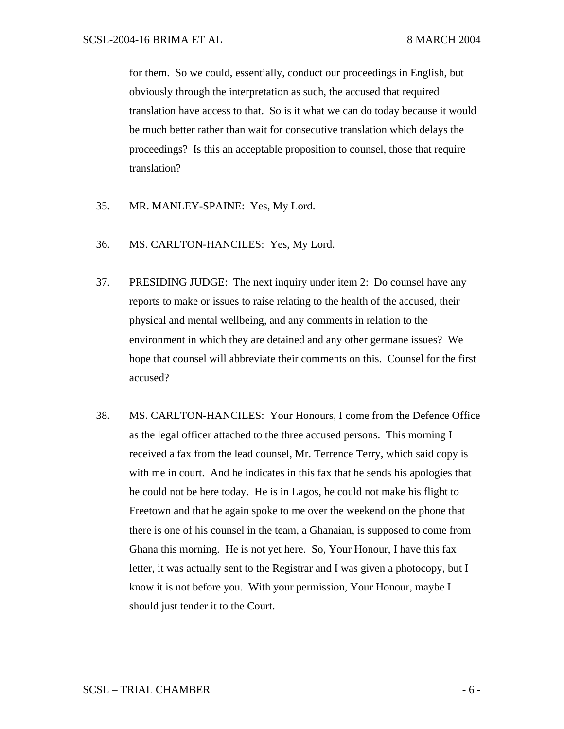for them. So we could, essentially, conduct our proceedings in English, but obviously through the interpretation as such, the accused that required translation have access to that. So is it what we can do today because it would be much better rather than wait for consecutive translation which delays the proceedings? Is this an acceptable proposition to counsel, those that require translation?

- 35. MR. MANLEY-SPAINE: Yes, My Lord.
- 36. MS. CARLTON-HANCILES: Yes, My Lord.
- 37. PRESIDING JUDGE: The next inquiry under item 2: Do counsel have any reports to make or issues to raise relating to the health of the accused, their physical and mental wellbeing, and any comments in relation to the environment in which they are detained and any other germane issues? We hope that counsel will abbreviate their comments on this. Counsel for the first accused?
- 38. MS. CARLTON-HANCILES: Your Honours, I come from the Defence Office as the legal officer attached to the three accused persons. This morning I received a fax from the lead counsel, Mr. Terrence Terry, which said copy is with me in court. And he indicates in this fax that he sends his apologies that he could not be here today. He is in Lagos, he could not make his flight to Freetown and that he again spoke to me over the weekend on the phone that there is one of his counsel in the team, a Ghanaian, is supposed to come from Ghana this morning. He is not yet here. So, Your Honour, I have this fax letter, it was actually sent to the Registrar and I was given a photocopy, but I know it is not before you. With your permission, Your Honour, maybe I should just tender it to the Court.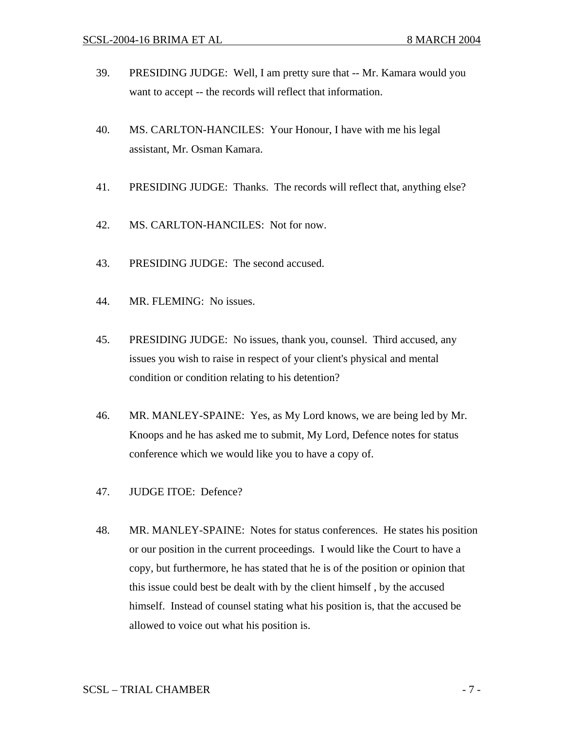- 39. PRESIDING JUDGE: Well, I am pretty sure that -- Mr. Kamara would you want to accept -- the records will reflect that information.
- 40. MS. CARLTON-HANCILES: Your Honour, I have with me his legal assistant, Mr. Osman Kamara.
- 41. PRESIDING JUDGE: Thanks. The records will reflect that, anything else?
- 42. MS. CARLTON-HANCILES: Not for now.
- 43. PRESIDING JUDGE: The second accused.
- 44. MR. FLEMING: No issues.
- 45. PRESIDING JUDGE: No issues, thank you, counsel. Third accused, any issues you wish to raise in respect of your client's physical and mental condition or condition relating to his detention?
- 46. MR. MANLEY-SPAINE: Yes, as My Lord knows, we are being led by Mr. Knoops and he has asked me to submit, My Lord, Defence notes for status conference which we would like you to have a copy of.
- 47. JUDGE ITOE: Defence?
- 48. MR. MANLEY-SPAINE: Notes for status conferences. He states his position or our position in the current proceedings. I would like the Court to have a copy, but furthermore, he has stated that he is of the position or opinion that this issue could best be dealt with by the client himself , by the accused himself. Instead of counsel stating what his position is, that the accused be allowed to voice out what his position is.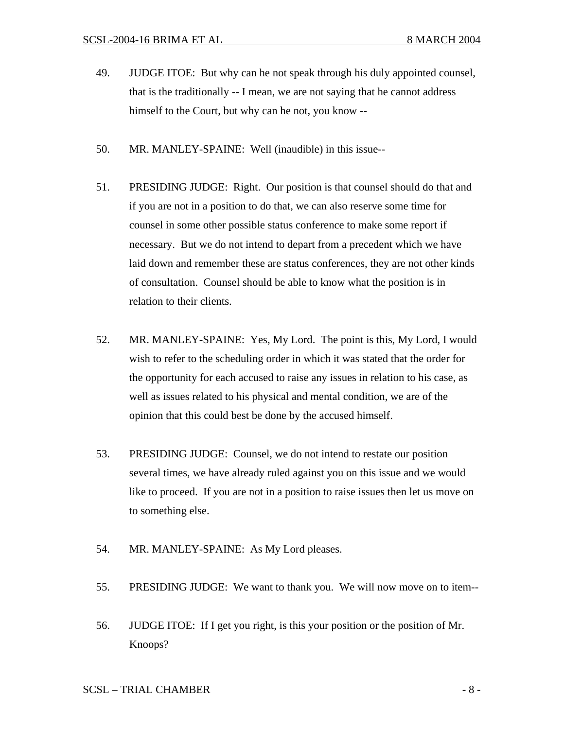- 49. JUDGE ITOE: But why can he not speak through his duly appointed counsel, that is the traditionally -- I mean, we are not saying that he cannot address himself to the Court, but why can he not, you know --
- 50. MR. MANLEY-SPAINE: Well (inaudible) in this issue--
- 51. PRESIDING JUDGE: Right. Our position is that counsel should do that and if you are not in a position to do that, we can also reserve some time for counsel in some other possible status conference to make some report if necessary. But we do not intend to depart from a precedent which we have laid down and remember these are status conferences, they are not other kinds of consultation. Counsel should be able to know what the position is in relation to their clients.
- 52. MR. MANLEY-SPAINE: Yes, My Lord. The point is this, My Lord, I would wish to refer to the scheduling order in which it was stated that the order for the opportunity for each accused to raise any issues in relation to his case, as well as issues related to his physical and mental condition, we are of the opinion that this could best be done by the accused himself.
- 53. PRESIDING JUDGE: Counsel, we do not intend to restate our position several times, we have already ruled against you on this issue and we would like to proceed. If you are not in a position to raise issues then let us move on to something else.
- 54. MR. MANLEY-SPAINE: As My Lord pleases.
- 55. PRESIDING JUDGE: We want to thank you. We will now move on to item--
- 56. JUDGE ITOE: If I get you right, is this your position or the position of Mr. Knoops?

# $SCSL - TRIAL CHAMBER$   $8 -$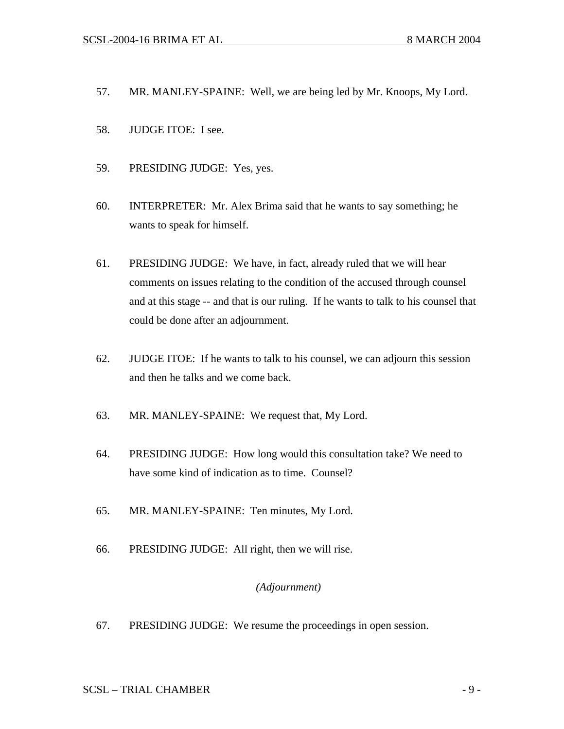- 57. MR. MANLEY-SPAINE: Well, we are being led by Mr. Knoops, My Lord.
- 58. JUDGE ITOE: I see.
- 59. PRESIDING JUDGE: Yes, yes.
- 60. INTERPRETER: Mr. Alex Brima said that he wants to say something; he wants to speak for himself.
- 61. PRESIDING JUDGE: We have, in fact, already ruled that we will hear comments on issues relating to the condition of the accused through counsel and at this stage -- and that is our ruling. If he wants to talk to his counsel that could be done after an adjournment.
- 62. JUDGE ITOE: If he wants to talk to his counsel, we can adjourn this session and then he talks and we come back.
- 63. MR. MANLEY-SPAINE: We request that, My Lord.
- 64. PRESIDING JUDGE: How long would this consultation take? We need to have some kind of indication as to time. Counsel?
- 65. MR. MANLEY-SPAINE: Ten minutes, My Lord.
- 66. PRESIDING JUDGE: All right, then we will rise.

# *(Adjournment)*

67. PRESIDING JUDGE: We resume the proceedings in open session.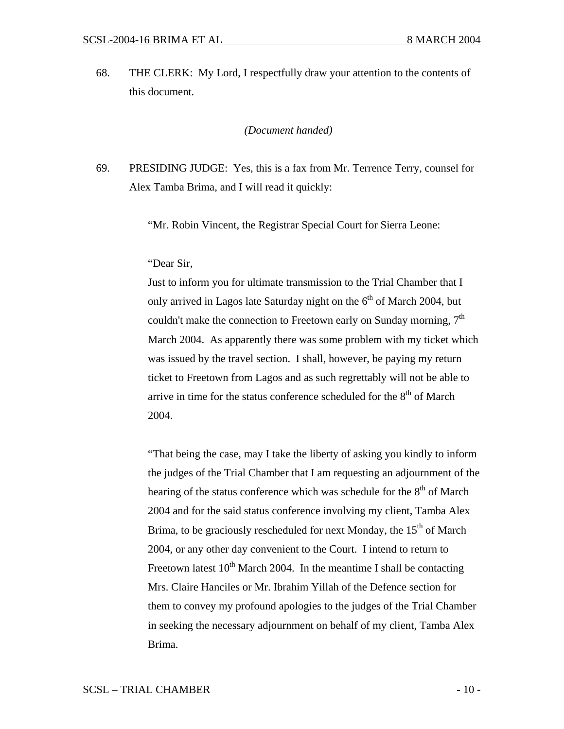68. THE CLERK: My Lord, I respectfully draw your attention to the contents of this document*.* 

#### *(Document handed)*

69. PRESIDING JUDGE: Yes, this is a fax from Mr. Terrence Terry, counsel for Alex Tamba Brima, and I will read it quickly:

"Mr. Robin Vincent, the Registrar Special Court for Sierra Leone:

#### "Dear Sir,

Just to inform you for ultimate transmission to the Trial Chamber that I only arrived in Lagos late Saturday night on the  $6<sup>th</sup>$  of March 2004, but couldn't make the connection to Freetown early on Sunday morning,  $7<sup>th</sup>$ March 2004. As apparently there was some problem with my ticket which was issued by the travel section. I shall, however, be paying my return ticket to Freetown from Lagos and as such regrettably will not be able to arrive in time for the status conference scheduled for the  $8<sup>th</sup>$  of March 2004.

"That being the case, may I take the liberty of asking you kindly to inform the judges of the Trial Chamber that I am requesting an adjournment of the hearing of the status conference which was schedule for the  $8<sup>th</sup>$  of March 2004 and for the said status conference involving my client, Tamba Alex Brima, to be graciously rescheduled for next Monday, the  $15<sup>th</sup>$  of March 2004, or any other day convenient to the Court. I intend to return to Freetown latest  $10^{th}$  March 2004. In the meantime I shall be contacting Mrs. Claire Hanciles or Mr. Ibrahim Yillah of the Defence section for them to convey my profound apologies to the judges of the Trial Chamber in seeking the necessary adjournment on behalf of my client, Tamba Alex Brima.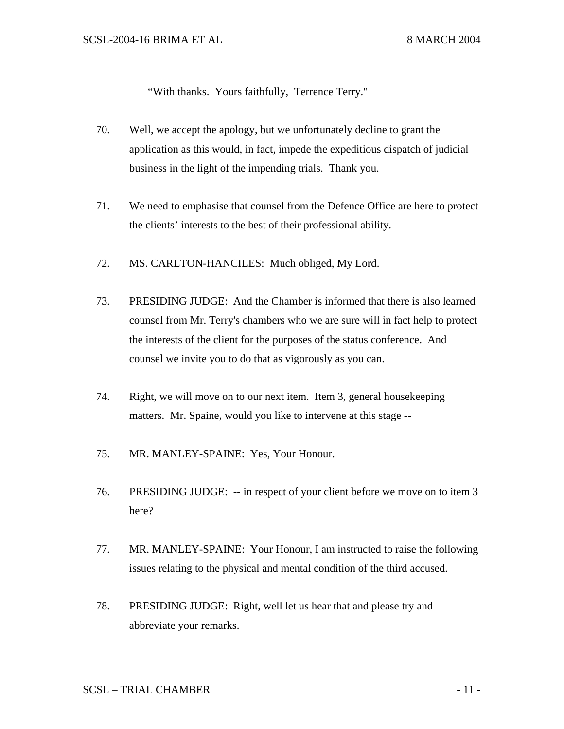"With thanks. Yours faithfully, Terrence Terry."

- 70. Well, we accept the apology, but we unfortunately decline to grant the application as this would, in fact, impede the expeditious dispatch of judicial business in the light of the impending trials. Thank you.
- 71. We need to emphasise that counsel from the Defence Office are here to protect the clients' interests to the best of their professional ability.
- 72. MS. CARLTON-HANCILES: Much obliged, My Lord.
- 73. PRESIDING JUDGE: And the Chamber is informed that there is also learned counsel from Mr. Terry's chambers who we are sure will in fact help to protect the interests of the client for the purposes of the status conference. And counsel we invite you to do that as vigorously as you can.
- 74. Right, we will move on to our next item. Item 3, general housekeeping matters. Mr. Spaine, would you like to intervene at this stage --
- 75. MR. MANLEY-SPAINE: Yes, Your Honour.
- 76. PRESIDING JUDGE: -- in respect of your client before we move on to item 3 here?
- 77. MR. MANLEY-SPAINE: Your Honour, I am instructed to raise the following issues relating to the physical and mental condition of the third accused.
- 78. PRESIDING JUDGE: Right, well let us hear that and please try and abbreviate your remarks.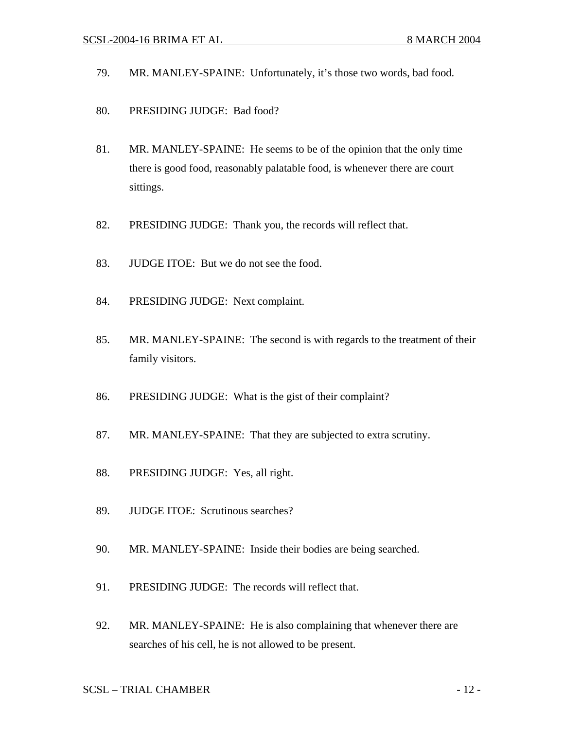- 79. MR. MANLEY-SPAINE: Unfortunately, it's those two words, bad food.
- 80. PRESIDING JUDGE: Bad food?
- 81. MR. MANLEY-SPAINE: He seems to be of the opinion that the only time there is good food, reasonably palatable food, is whenever there are court sittings.
- 82. PRESIDING JUDGE: Thank you, the records will reflect that.
- 83. JUDGE ITOE: But we do not see the food.
- 84. PRESIDING JUDGE: Next complaint.
- 85. MR. MANLEY-SPAINE: The second is with regards to the treatment of their family visitors.
- 86. PRESIDING JUDGE: What is the gist of their complaint?
- 87. MR. MANLEY-SPAINE: That they are subjected to extra scrutiny.
- 88. PRESIDING JUDGE: Yes, all right.
- 89. JUDGE ITOE: Scrutinous searches?
- 90. MR. MANLEY-SPAINE: Inside their bodies are being searched.
- 91. PRESIDING JUDGE: The records will reflect that.
- 92. MR. MANLEY-SPAINE: He is also complaining that whenever there are searches of his cell, he is not allowed to be present.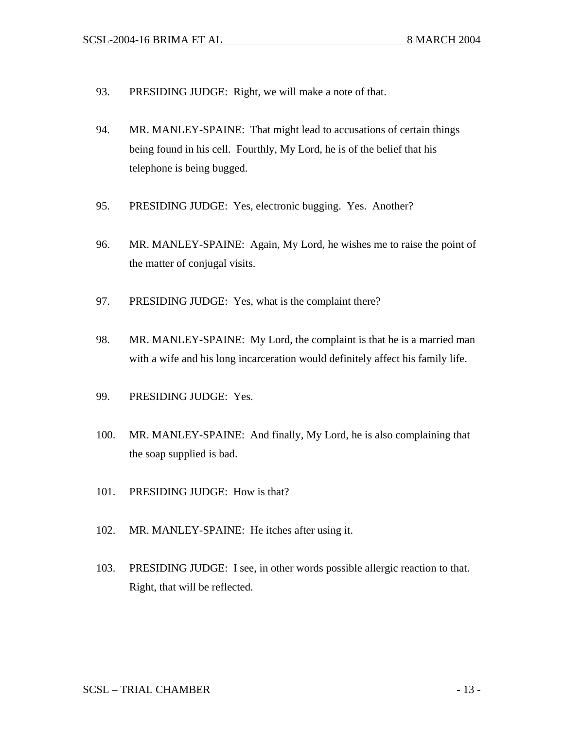- 93. PRESIDING JUDGE: Right, we will make a note of that.
- 94. MR. MANLEY-SPAINE: That might lead to accusations of certain things being found in his cell. Fourthly, My Lord, he is of the belief that his telephone is being bugged.
- 95. PRESIDING JUDGE: Yes, electronic bugging. Yes. Another?
- 96. MR. MANLEY-SPAINE: Again, My Lord, he wishes me to raise the point of the matter of conjugal visits.
- 97. PRESIDING JUDGE: Yes, what is the complaint there?
- 98. MR. MANLEY-SPAINE: My Lord, the complaint is that he is a married man with a wife and his long incarceration would definitely affect his family life.
- 99. PRESIDING JUDGE: Yes.
- 100. MR. MANLEY-SPAINE: And finally, My Lord, he is also complaining that the soap supplied is bad.
- 101. PRESIDING JUDGE: How is that?
- 102. MR. MANLEY-SPAINE: He itches after using it.
- 103. PRESIDING JUDGE: I see, in other words possible allergic reaction to that. Right, that will be reflected.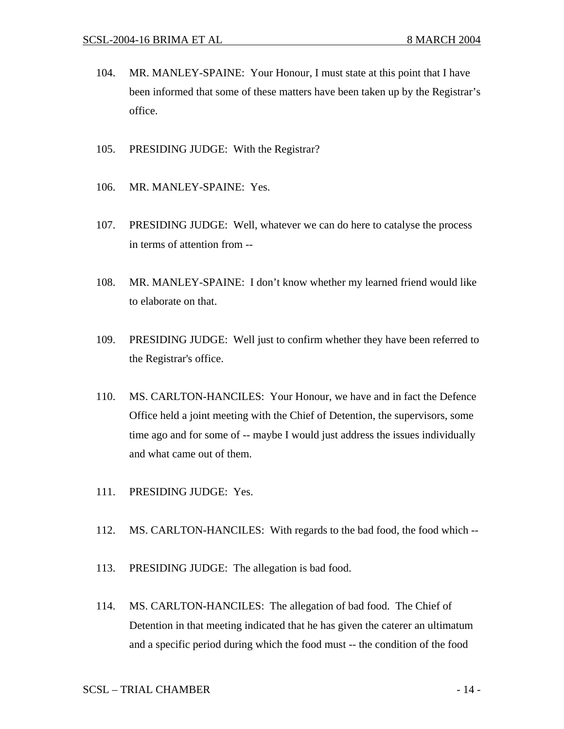- 104. MR. MANLEY-SPAINE: Your Honour, I must state at this point that I have been informed that some of these matters have been taken up by the Registrar's office.
- 105. PRESIDING JUDGE: With the Registrar?
- 106. MR. MANLEY-SPAINE: Yes.
- 107. PRESIDING JUDGE: Well, whatever we can do here to catalyse the process in terms of attention from --
- 108. MR. MANLEY-SPAINE: I don't know whether my learned friend would like to elaborate on that.
- 109. PRESIDING JUDGE: Well just to confirm whether they have been referred to the Registrar's office.
- 110. MS. CARLTON-HANCILES: Your Honour, we have and in fact the Defence Office held a joint meeting with the Chief of Detention, the supervisors, some time ago and for some of -- maybe I would just address the issues individually and what came out of them.
- 111. PRESIDING JUDGE: Yes.
- 112. MS. CARLTON-HANCILES: With regards to the bad food, the food which --
- 113. PRESIDING JUDGE: The allegation is bad food.
- 114. MS. CARLTON-HANCILES: The allegation of bad food. The Chief of Detention in that meeting indicated that he has given the caterer an ultimatum and a specific period during which the food must -- the condition of the food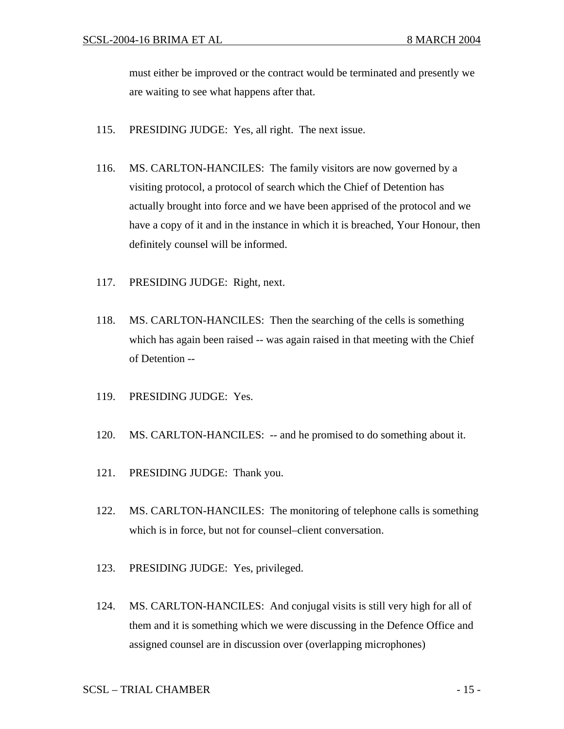must either be improved or the contract would be terminated and presently we are waiting to see what happens after that.

- 115. PRESIDING JUDGE: Yes, all right. The next issue.
- 116. MS. CARLTON-HANCILES: The family visitors are now governed by a visiting protocol, a protocol of search which the Chief of Detention has actually brought into force and we have been apprised of the protocol and we have a copy of it and in the instance in which it is breached, Your Honour, then definitely counsel will be informed.
- 117. PRESIDING JUDGE: Right, next.
- 118. MS. CARLTON-HANCILES: Then the searching of the cells is something which has again been raised -- was again raised in that meeting with the Chief of Detention --
- 119. PRESIDING JUDGE: Yes.
- 120. MS. CARLTON-HANCILES: -- and he promised to do something about it.
- 121. PRESIDING JUDGE: Thank you.
- 122. MS. CARLTON-HANCILES: The monitoring of telephone calls is something which is in force, but not for counsel–client conversation.
- 123. PRESIDING JUDGE: Yes, privileged.
- 124. MS. CARLTON-HANCILES: And conjugal visits is still very high for all of them and it is something which we were discussing in the Defence Office and assigned counsel are in discussion over (overlapping microphones)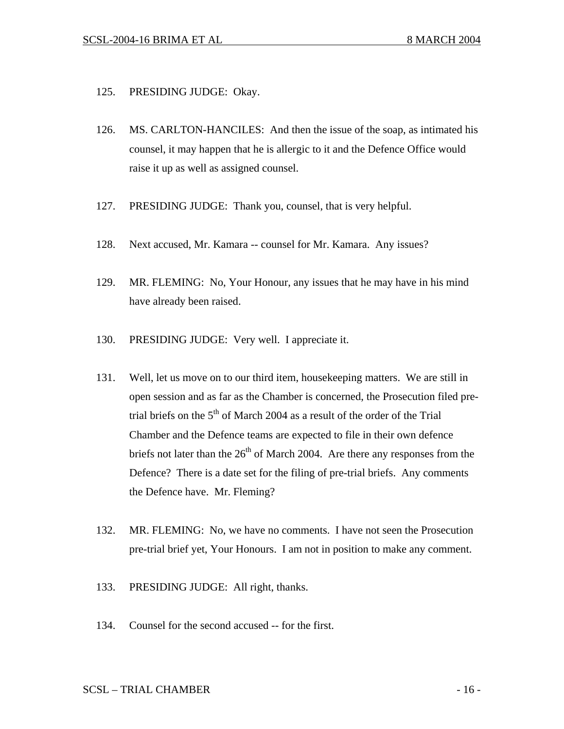- 125. PRESIDING JUDGE: Okay.
- 126. MS. CARLTON-HANCILES: And then the issue of the soap, as intimated his counsel, it may happen that he is allergic to it and the Defence Office would raise it up as well as assigned counsel.
- 127. PRESIDING JUDGE: Thank you, counsel, that is very helpful.
- 128. Next accused, Mr. Kamara -- counsel for Mr. Kamara. Any issues?
- 129. MR. FLEMING: No, Your Honour, any issues that he may have in his mind have already been raised.
- 130. PRESIDING JUDGE: Very well. I appreciate it.
- 131. Well, let us move on to our third item, housekeeping matters. We are still in open session and as far as the Chamber is concerned, the Prosecution filed pretrial briefs on the  $5<sup>th</sup>$  of March 2004 as a result of the order of the Trial Chamber and the Defence teams are expected to file in their own defence briefs not later than the  $26<sup>th</sup>$  of March 2004. Are there any responses from the Defence? There is a date set for the filing of pre-trial briefs. Any comments the Defence have. Mr. Fleming?
- 132. MR. FLEMING: No, we have no comments. I have not seen the Prosecution pre-trial brief yet, Your Honours. I am not in position to make any comment.
- 133. PRESIDING JUDGE: All right, thanks.
- 134. Counsel for the second accused -- for the first.

# $SCSL - TRIAL CHAMBER$   $-16 -$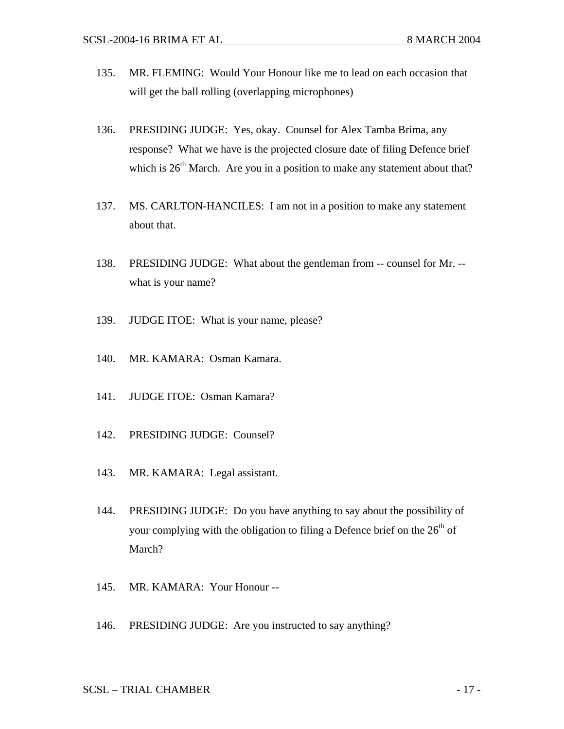- 135. MR. FLEMING: Would Your Honour like me to lead on each occasion that will get the ball rolling (overlapping microphones)
- 136. PRESIDING JUDGE: Yes, okay. Counsel for Alex Tamba Brima, any response? What we have is the projected closure date of filing Defence brief which is  $26<sup>th</sup>$  March. Are you in a position to make any statement about that?
- 137. MS. CARLTON-HANCILES: I am not in a position to make any statement about that.
- 138. PRESIDING JUDGE: What about the gentleman from -- counsel for Mr. what is your name?
- 139. JUDGE ITOE: What is your name, please?
- 140. MR. KAMARA: Osman Kamara.
- 141. JUDGE ITOE: Osman Kamara?
- 142. PRESIDING JUDGE: Counsel?
- 143. MR. KAMARA: Legal assistant.
- 144. PRESIDING JUDGE: Do you have anything to say about the possibility of your complying with the obligation to filing a Defence brief on the  $26<sup>th</sup>$  of March?
- 145. MR. KAMARA: Your Honour --
- 146. PRESIDING JUDGE: Are you instructed to say anything?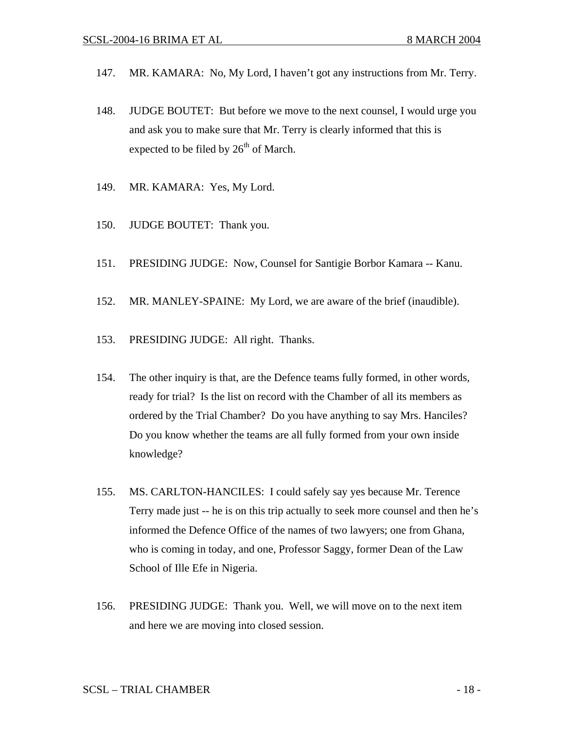- 147. MR. KAMARA: No, My Lord, I haven't got any instructions from Mr. Terry.
- 148. JUDGE BOUTET: But before we move to the next counsel, I would urge you and ask you to make sure that Mr. Terry is clearly informed that this is expected to be filed by  $26<sup>th</sup>$  of March.
- 149. MR. KAMARA: Yes, My Lord.
- 150. JUDGE BOUTET: Thank you.
- 151. PRESIDING JUDGE: Now, Counsel for Santigie Borbor Kamara -- Kanu.
- 152. MR. MANLEY-SPAINE: My Lord, we are aware of the brief (inaudible).
- 153. PRESIDING JUDGE: All right. Thanks.
- 154. The other inquiry is that, are the Defence teams fully formed, in other words, ready for trial? Is the list on record with the Chamber of all its members as ordered by the Trial Chamber? Do you have anything to say Mrs. Hanciles? Do you know whether the teams are all fully formed from your own inside knowledge?
- 155. MS. CARLTON-HANCILES: I could safely say yes because Mr. Terence Terry made just -- he is on this trip actually to seek more counsel and then he's informed the Defence Office of the names of two lawyers; one from Ghana, who is coming in today, and one, Professor Saggy, former Dean of the Law School of Ille Efe in Nigeria.
- 156. PRESIDING JUDGE: Thank you. Well, we will move on to the next item and here we are moving into closed session.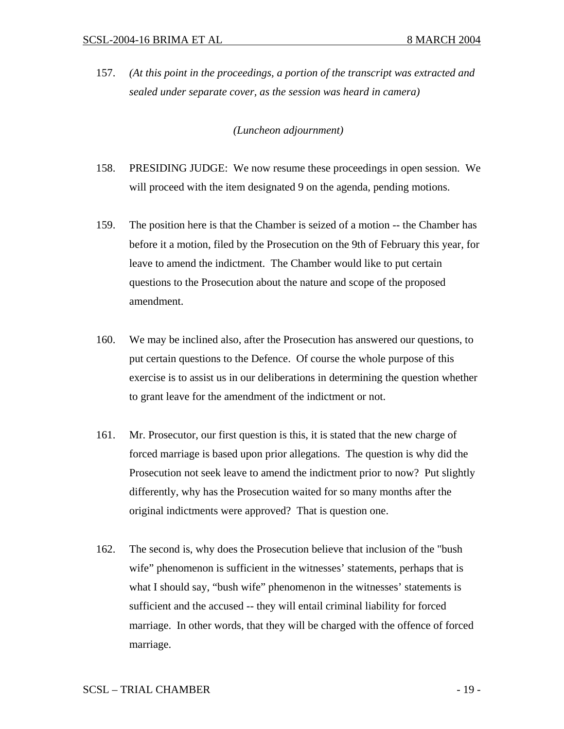157. *(At this point in the proceedings, a portion of the transcript was extracted and sealed under separate cover, as the session was heard in camera)* 

## *(Luncheon adjournment)*

- 158. PRESIDING JUDGE: We now resume these proceedings in open session. We will proceed with the item designated 9 on the agenda, pending motions.
- 159. The position here is that the Chamber is seized of a motion -- the Chamber has before it a motion, filed by the Prosecution on the 9th of February this year, for leave to amend the indictment. The Chamber would like to put certain questions to the Prosecution about the nature and scope of the proposed amendment.
- 160. We may be inclined also, after the Prosecution has answered our questions, to put certain questions to the Defence. Of course the whole purpose of this exercise is to assist us in our deliberations in determining the question whether to grant leave for the amendment of the indictment or not.
- 161. Mr. Prosecutor, our first question is this, it is stated that the new charge of forced marriage is based upon prior allegations. The question is why did the Prosecution not seek leave to amend the indictment prior to now? Put slightly differently, why has the Prosecution waited for so many months after the original indictments were approved? That is question one.
- 162. The second is, why does the Prosecution believe that inclusion of the "bush wife" phenomenon is sufficient in the witnesses' statements, perhaps that is what I should say, "bush wife" phenomenon in the witnesses' statements is sufficient and the accused -- they will entail criminal liability for forced marriage. In other words, that they will be charged with the offence of forced marriage.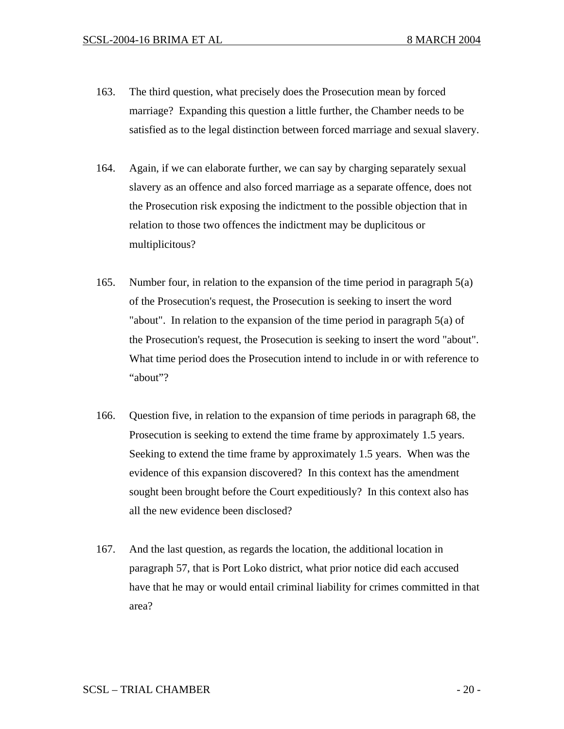- 163. The third question, what precisely does the Prosecution mean by forced marriage? Expanding this question a little further, the Chamber needs to be satisfied as to the legal distinction between forced marriage and sexual slavery.
- 164. Again, if we can elaborate further, we can say by charging separately sexual slavery as an offence and also forced marriage as a separate offence, does not the Prosecution risk exposing the indictment to the possible objection that in relation to those two offences the indictment may be duplicitous or multiplicitous?
- 165. Number four, in relation to the expansion of the time period in paragraph 5(a) of the Prosecution's request, the Prosecution is seeking to insert the word "about". In relation to the expansion of the time period in paragraph 5(a) of the Prosecution's request, the Prosecution is seeking to insert the word "about". What time period does the Prosecution intend to include in or with reference to "about"?
- 166. Question five, in relation to the expansion of time periods in paragraph 68, the Prosecution is seeking to extend the time frame by approximately 1.5 years. Seeking to extend the time frame by approximately 1.5 years. When was the evidence of this expansion discovered? In this context has the amendment sought been brought before the Court expeditiously? In this context also has all the new evidence been disclosed?
- 167. And the last question, as regards the location, the additional location in paragraph 57, that is Port Loko district, what prior notice did each accused have that he may or would entail criminal liability for crimes committed in that area?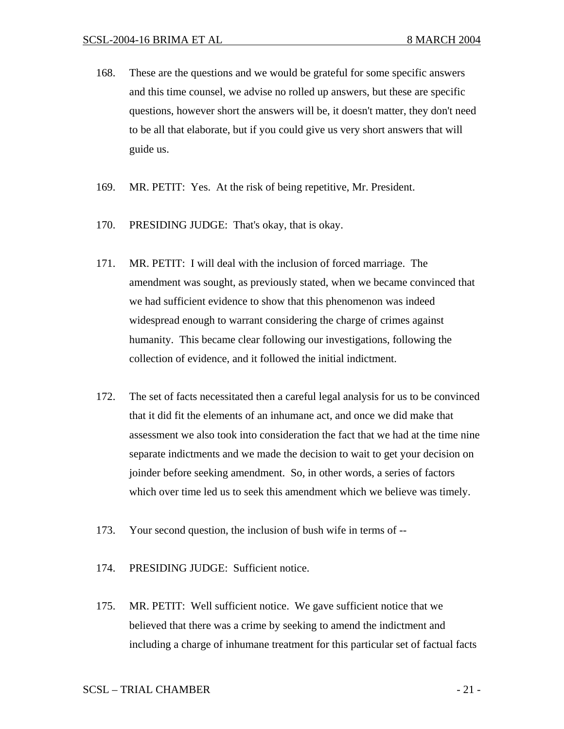- 168. These are the questions and we would be grateful for some specific answers and this time counsel, we advise no rolled up answers, but these are specific questions, however short the answers will be, it doesn't matter, they don't need to be all that elaborate, but if you could give us very short answers that will guide us.
- 169. MR. PETIT: Yes. At the risk of being repetitive, Mr. President.
- 170. PRESIDING JUDGE: That's okay, that is okay.
- 171. MR. PETIT: I will deal with the inclusion of forced marriage. The amendment was sought, as previously stated, when we became convinced that we had sufficient evidence to show that this phenomenon was indeed widespread enough to warrant considering the charge of crimes against humanity. This became clear following our investigations, following the collection of evidence, and it followed the initial indictment.
- 172. The set of facts necessitated then a careful legal analysis for us to be convinced that it did fit the elements of an inhumane act, and once we did make that assessment we also took into consideration the fact that we had at the time nine separate indictments and we made the decision to wait to get your decision on joinder before seeking amendment. So, in other words, a series of factors which over time led us to seek this amendment which we believe was timely.
- 173. Your second question, the inclusion of bush wife in terms of --
- 174. PRESIDING JUDGE: Sufficient notice.
- 175. MR. PETIT: Well sufficient notice. We gave sufficient notice that we believed that there was a crime by seeking to amend the indictment and including a charge of inhumane treatment for this particular set of factual facts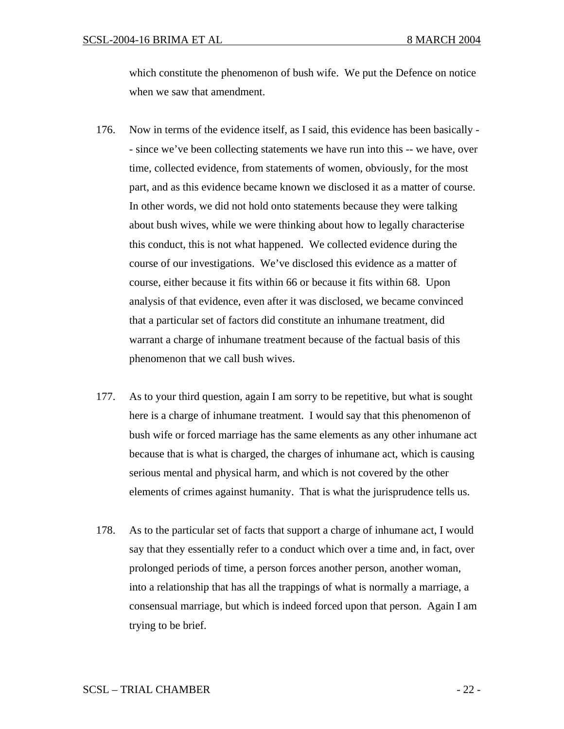which constitute the phenomenon of bush wife. We put the Defence on notice when we saw that amendment.

- 176. Now in terms of the evidence itself, as I said, this evidence has been basically - since we've been collecting statements we have run into this -- we have, over time, collected evidence, from statements of women, obviously, for the most part, and as this evidence became known we disclosed it as a matter of course. In other words, we did not hold onto statements because they were talking about bush wives, while we were thinking about how to legally characterise this conduct, this is not what happened. We collected evidence during the course of our investigations. We've disclosed this evidence as a matter of course, either because it fits within 66 or because it fits within 68. Upon analysis of that evidence, even after it was disclosed, we became convinced that a particular set of factors did constitute an inhumane treatment, did warrant a charge of inhumane treatment because of the factual basis of this phenomenon that we call bush wives.
- 177. As to your third question, again I am sorry to be repetitive, but what is sought here is a charge of inhumane treatment. I would say that this phenomenon of bush wife or forced marriage has the same elements as any other inhumane act because that is what is charged, the charges of inhumane act, which is causing serious mental and physical harm, and which is not covered by the other elements of crimes against humanity. That is what the jurisprudence tells us.
- 178. As to the particular set of facts that support a charge of inhumane act, I would say that they essentially refer to a conduct which over a time and, in fact, over prolonged periods of time, a person forces another person, another woman, into a relationship that has all the trappings of what is normally a marriage, a consensual marriage, but which is indeed forced upon that person. Again I am trying to be brief.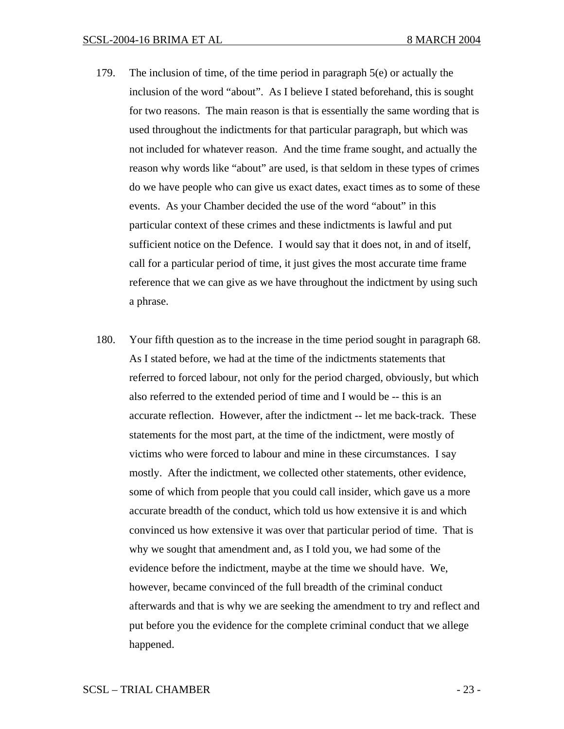- 179. The inclusion of time, of the time period in paragraph 5(e) or actually the inclusion of the word "about". As I believe I stated beforehand, this is sought for two reasons. The main reason is that is essentially the same wording that is used throughout the indictments for that particular paragraph, but which was not included for whatever reason. And the time frame sought, and actually the reason why words like "about" are used, is that seldom in these types of crimes do we have people who can give us exact dates, exact times as to some of these events. As your Chamber decided the use of the word "about" in this particular context of these crimes and these indictments is lawful and put sufficient notice on the Defence. I would say that it does not, in and of itself, call for a particular period of time, it just gives the most accurate time frame reference that we can give as we have throughout the indictment by using such a phrase.
- 180. Your fifth question as to the increase in the time period sought in paragraph 68. As I stated before, we had at the time of the indictments statements that referred to forced labour, not only for the period charged, obviously, but which also referred to the extended period of time and I would be -- this is an accurate reflection. However, after the indictment -- let me back-track. These statements for the most part, at the time of the indictment, were mostly of victims who were forced to labour and mine in these circumstances. I say mostly. After the indictment, we collected other statements, other evidence, some of which from people that you could call insider, which gave us a more accurate breadth of the conduct, which told us how extensive it is and which convinced us how extensive it was over that particular period of time. That is why we sought that amendment and, as I told you, we had some of the evidence before the indictment, maybe at the time we should have. We, however, became convinced of the full breadth of the criminal conduct afterwards and that is why we are seeking the amendment to try and reflect and put before you the evidence for the complete criminal conduct that we allege happened.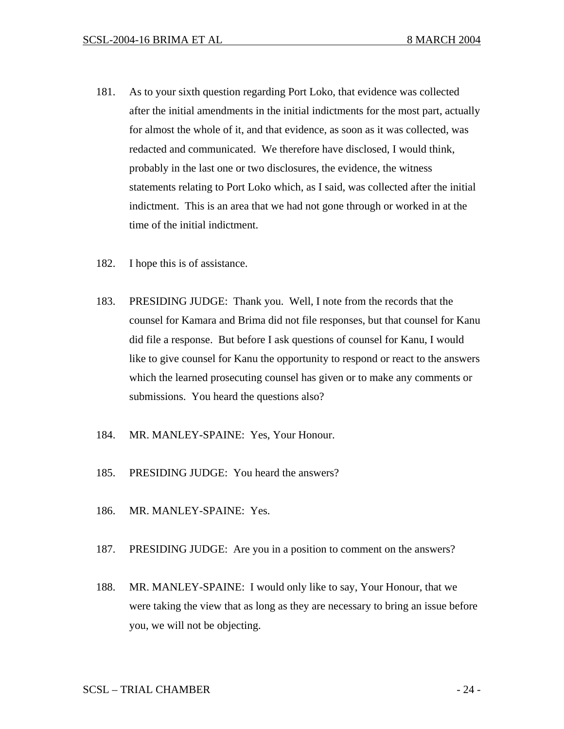- 181. As to your sixth question regarding Port Loko, that evidence was collected after the initial amendments in the initial indictments for the most part, actually for almost the whole of it, and that evidence, as soon as it was collected, was redacted and communicated. We therefore have disclosed, I would think, probably in the last one or two disclosures, the evidence, the witness statements relating to Port Loko which, as I said, was collected after the initial indictment. This is an area that we had not gone through or worked in at the time of the initial indictment.
- 182. I hope this is of assistance.
- 183. PRESIDING JUDGE: Thank you. Well, I note from the records that the counsel for Kamara and Brima did not file responses, but that counsel for Kanu did file a response. But before I ask questions of counsel for Kanu, I would like to give counsel for Kanu the opportunity to respond or react to the answers which the learned prosecuting counsel has given or to make any comments or submissions. You heard the questions also?
- 184. MR. MANLEY-SPAINE: Yes, Your Honour.
- 185. PRESIDING JUDGE: You heard the answers?
- 186. MR. MANLEY-SPAINE: Yes.
- 187. PRESIDING JUDGE: Are you in a position to comment on the answers?
- 188. MR. MANLEY-SPAINE: I would only like to say, Your Honour, that we were taking the view that as long as they are necessary to bring an issue before you, we will not be objecting.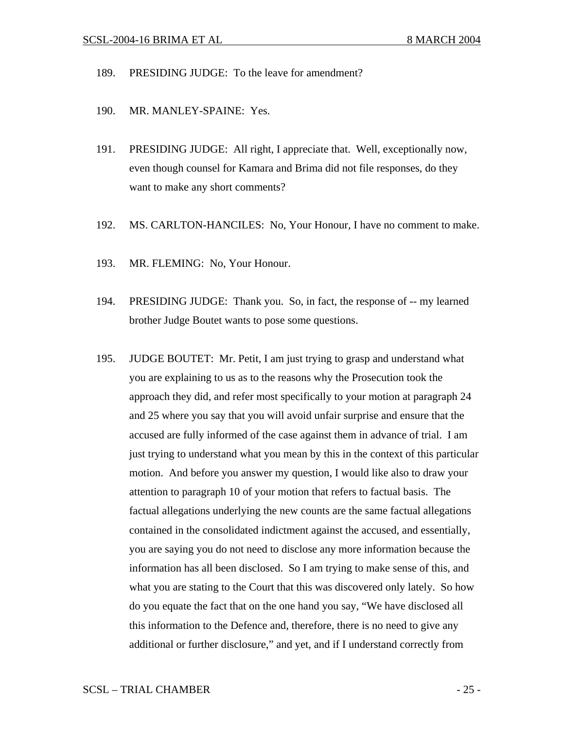- 189. PRESIDING JUDGE: To the leave for amendment?
- 190. MR. MANLEY-SPAINE: Yes.
- 191. PRESIDING JUDGE: All right, I appreciate that. Well, exceptionally now, even though counsel for Kamara and Brima did not file responses, do they want to make any short comments?
- 192. MS. CARLTON-HANCILES: No, Your Honour, I have no comment to make.
- 193. MR. FLEMING: No, Your Honour.
- 194. PRESIDING JUDGE: Thank you. So, in fact, the response of -- my learned brother Judge Boutet wants to pose some questions.
- 195. JUDGE BOUTET: Mr. Petit, I am just trying to grasp and understand what you are explaining to us as to the reasons why the Prosecution took the approach they did, and refer most specifically to your motion at paragraph 24 and 25 where you say that you will avoid unfair surprise and ensure that the accused are fully informed of the case against them in advance of trial. I am just trying to understand what you mean by this in the context of this particular motion. And before you answer my question, I would like also to draw your attention to paragraph 10 of your motion that refers to factual basis. The factual allegations underlying the new counts are the same factual allegations contained in the consolidated indictment against the accused, and essentially, you are saying you do not need to disclose any more information because the information has all been disclosed. So I am trying to make sense of this, and what you are stating to the Court that this was discovered only lately. So how do you equate the fact that on the one hand you say, "We have disclosed all this information to the Defence and, therefore, there is no need to give any additional or further disclosure," and yet, and if I understand correctly from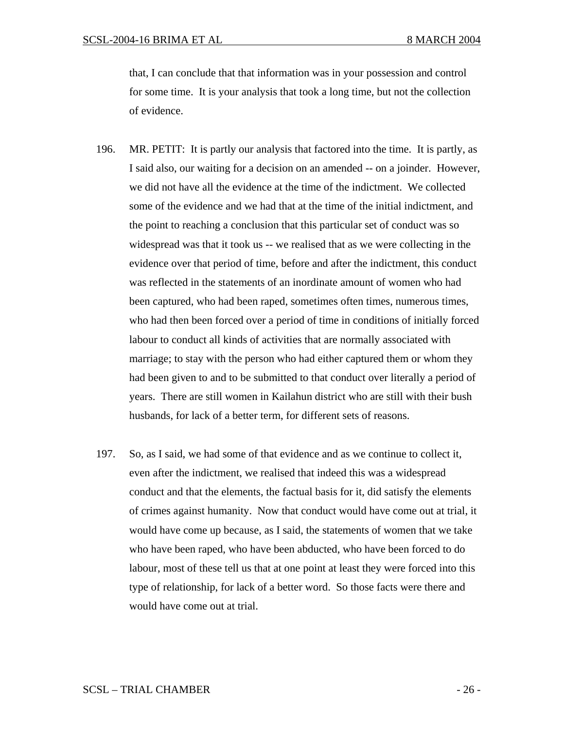that, I can conclude that that information was in your possession and control for some time. It is your analysis that took a long time, but not the collection of evidence.

- 196. MR. PETIT: It is partly our analysis that factored into the time. It is partly, as I said also, our waiting for a decision on an amended -- on a joinder. However, we did not have all the evidence at the time of the indictment. We collected some of the evidence and we had that at the time of the initial indictment, and the point to reaching a conclusion that this particular set of conduct was so widespread was that it took us -- we realised that as we were collecting in the evidence over that period of time, before and after the indictment, this conduct was reflected in the statements of an inordinate amount of women who had been captured, who had been raped, sometimes often times, numerous times, who had then been forced over a period of time in conditions of initially forced labour to conduct all kinds of activities that are normally associated with marriage; to stay with the person who had either captured them or whom they had been given to and to be submitted to that conduct over literally a period of years. There are still women in Kailahun district who are still with their bush husbands, for lack of a better term, for different sets of reasons.
- 197. So, as I said, we had some of that evidence and as we continue to collect it, even after the indictment, we realised that indeed this was a widespread conduct and that the elements, the factual basis for it, did satisfy the elements of crimes against humanity. Now that conduct would have come out at trial, it would have come up because, as I said, the statements of women that we take who have been raped, who have been abducted, who have been forced to do labour, most of these tell us that at one point at least they were forced into this type of relationship, for lack of a better word. So those facts were there and would have come out at trial.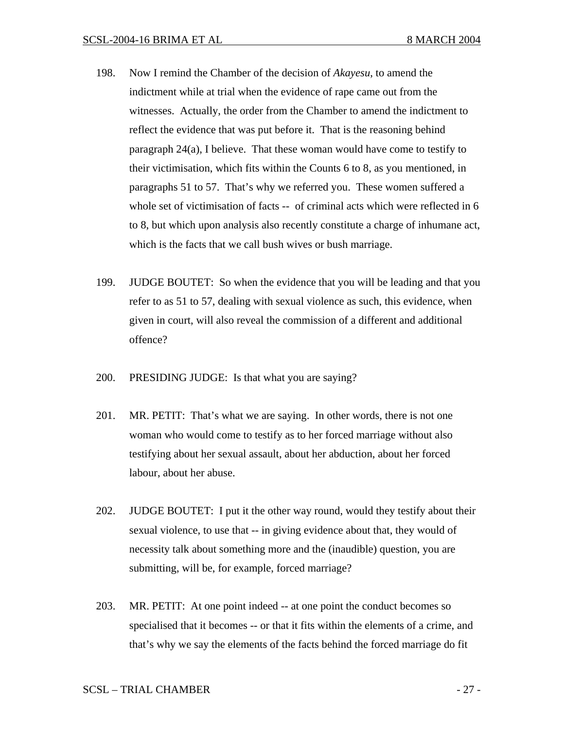- 198. Now I remind the Chamber of the decision of *Akayesu*, to amend the indictment while at trial when the evidence of rape came out from the witnesses. Actually, the order from the Chamber to amend the indictment to reflect the evidence that was put before it. That is the reasoning behind paragraph 24(a), I believe. That these woman would have come to testify to their victimisation, which fits within the Counts 6 to 8, as you mentioned, in paragraphs 51 to 57. That's why we referred you. These women suffered a whole set of victimisation of facts -- of criminal acts which were reflected in 6 to 8, but which upon analysis also recently constitute a charge of inhumane act, which is the facts that we call bush wives or bush marriage.
- 199. JUDGE BOUTET: So when the evidence that you will be leading and that you refer to as 51 to 57, dealing with sexual violence as such, this evidence, when given in court, will also reveal the commission of a different and additional offence?
- 200. PRESIDING JUDGE: Is that what you are saying?
- 201. MR. PETIT: That's what we are saying. In other words, there is not one woman who would come to testify as to her forced marriage without also testifying about her sexual assault, about her abduction, about her forced labour, about her abuse.
- 202. JUDGE BOUTET: I put it the other way round, would they testify about their sexual violence, to use that -- in giving evidence about that, they would of necessity talk about something more and the (inaudible) question, you are submitting, will be, for example, forced marriage?
- 203. MR. PETIT: At one point indeed -- at one point the conduct becomes so specialised that it becomes -- or that it fits within the elements of a crime, and that's why we say the elements of the facts behind the forced marriage do fit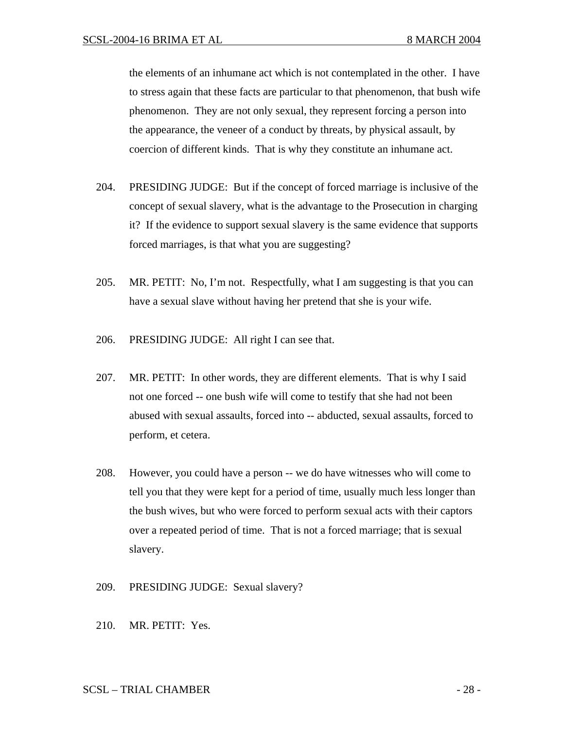the elements of an inhumane act which is not contemplated in the other. I have to stress again that these facts are particular to that phenomenon, that bush wife phenomenon. They are not only sexual, they represent forcing a person into the appearance, the veneer of a conduct by threats, by physical assault, by coercion of different kinds. That is why they constitute an inhumane act.

- 204. PRESIDING JUDGE: But if the concept of forced marriage is inclusive of the concept of sexual slavery, what is the advantage to the Prosecution in charging it? If the evidence to support sexual slavery is the same evidence that supports forced marriages, is that what you are suggesting?
- 205. MR. PETIT: No, I'm not. Respectfully, what I am suggesting is that you can have a sexual slave without having her pretend that she is your wife.
- 206. PRESIDING JUDGE: All right I can see that.
- 207. MR. PETIT: In other words, they are different elements. That is why I said not one forced -- one bush wife will come to testify that she had not been abused with sexual assaults, forced into -- abducted, sexual assaults, forced to perform, et cetera.
- 208. However, you could have a person -- we do have witnesses who will come to tell you that they were kept for a period of time, usually much less longer than the bush wives, but who were forced to perform sexual acts with their captors over a repeated period of time. That is not a forced marriage; that is sexual slavery.
- 209. PRESIDING JUDGE: Sexual slavery?
- 210. MR. PETIT: Yes.

## SCSL – TRIAL CHAMBER  $-28$  -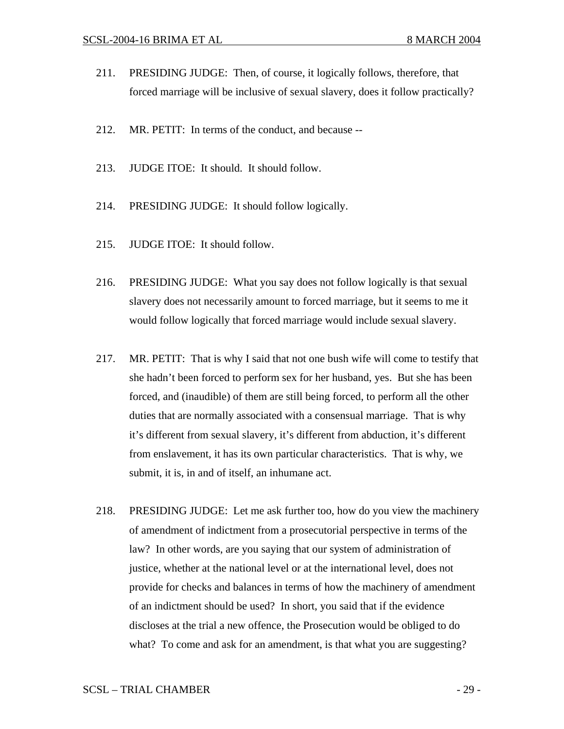- 211. PRESIDING JUDGE: Then, of course, it logically follows, therefore, that forced marriage will be inclusive of sexual slavery, does it follow practically?
- 212. MR. PETIT: In terms of the conduct, and because --
- 213. JUDGE ITOE: It should. It should follow.
- 214. PRESIDING JUDGE: It should follow logically.
- 215. JUDGE ITOE: It should follow.
- 216. PRESIDING JUDGE: What you say does not follow logically is that sexual slavery does not necessarily amount to forced marriage, but it seems to me it would follow logically that forced marriage would include sexual slavery.
- 217. MR. PETIT: That is why I said that not one bush wife will come to testify that she hadn't been forced to perform sex for her husband, yes. But she has been forced, and (inaudible) of them are still being forced, to perform all the other duties that are normally associated with a consensual marriage. That is why it's different from sexual slavery, it's different from abduction, it's different from enslavement, it has its own particular characteristics. That is why, we submit, it is, in and of itself, an inhumane act.
- 218. PRESIDING JUDGE: Let me ask further too, how do you view the machinery of amendment of indictment from a prosecutorial perspective in terms of the law? In other words, are you saying that our system of administration of justice, whether at the national level or at the international level, does not provide for checks and balances in terms of how the machinery of amendment of an indictment should be used? In short, you said that if the evidence discloses at the trial a new offence, the Prosecution would be obliged to do what? To come and ask for an amendment, is that what you are suggesting?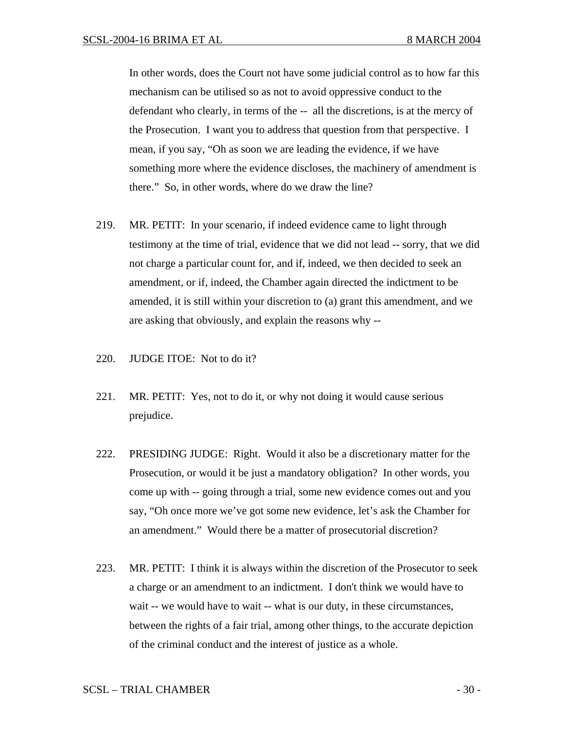In other words, does the Court not have some judicial control as to how far this mechanism can be utilised so as not to avoid oppressive conduct to the defendant who clearly, in terms of the -- all the discretions, is at the mercy of the Prosecution. I want you to address that question from that perspective. I mean, if you say, "Oh as soon we are leading the evidence, if we have something more where the evidence discloses, the machinery of amendment is there." So, in other words, where do we draw the line?

- 219. MR. PETIT: In your scenario, if indeed evidence came to light through testimony at the time of trial, evidence that we did not lead -- sorry, that we did not charge a particular count for, and if, indeed, we then decided to seek an amendment, or if, indeed, the Chamber again directed the indictment to be amended, it is still within your discretion to (a) grant this amendment, and we are asking that obviously, and explain the reasons why --
- 220. JUDGE ITOE: Not to do it?
- 221. MR. PETIT: Yes, not to do it, or why not doing it would cause serious prejudice.
- 222. PRESIDING JUDGE: Right. Would it also be a discretionary matter for the Prosecution, or would it be just a mandatory obligation? In other words, you come up with -- going through a trial, some new evidence comes out and you say, "Oh once more we've got some new evidence, let's ask the Chamber for an amendment." Would there be a matter of prosecutorial discretion?
- 223. MR. PETIT: I think it is always within the discretion of the Prosecutor to seek a charge or an amendment to an indictment. I don't think we would have to wait -- we would have to wait -- what is our duty, in these circumstances, between the rights of a fair trial, among other things, to the accurate depiction of the criminal conduct and the interest of justice as a whole.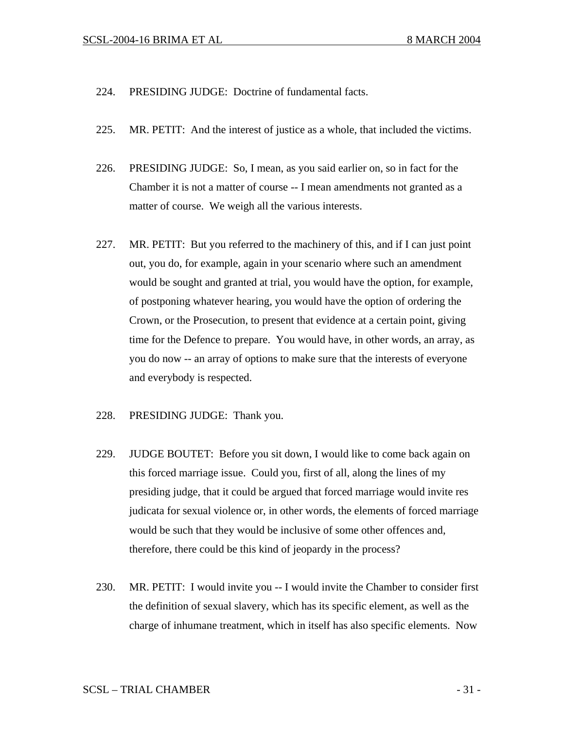- 224. PRESIDING JUDGE: Doctrine of fundamental facts.
- 225. MR. PETIT: And the interest of justice as a whole, that included the victims.
- 226. PRESIDING JUDGE: So, I mean, as you said earlier on, so in fact for the Chamber it is not a matter of course -- I mean amendments not granted as a matter of course. We weigh all the various interests.
- 227. MR. PETIT: But you referred to the machinery of this, and if I can just point out, you do, for example, again in your scenario where such an amendment would be sought and granted at trial, you would have the option, for example, of postponing whatever hearing, you would have the option of ordering the Crown, or the Prosecution, to present that evidence at a certain point, giving time for the Defence to prepare. You would have, in other words, an array, as you do now -- an array of options to make sure that the interests of everyone and everybody is respected.
- 228. PRESIDING JUDGE: Thank you.
- 229. JUDGE BOUTET: Before you sit down, I would like to come back again on this forced marriage issue. Could you, first of all, along the lines of my presiding judge, that it could be argued that forced marriage would invite res judicata for sexual violence or, in other words, the elements of forced marriage would be such that they would be inclusive of some other offences and, therefore, there could be this kind of jeopardy in the process?
- 230. MR. PETIT: I would invite you -- I would invite the Chamber to consider first the definition of sexual slavery, which has its specific element, as well as the charge of inhumane treatment, which in itself has also specific elements. Now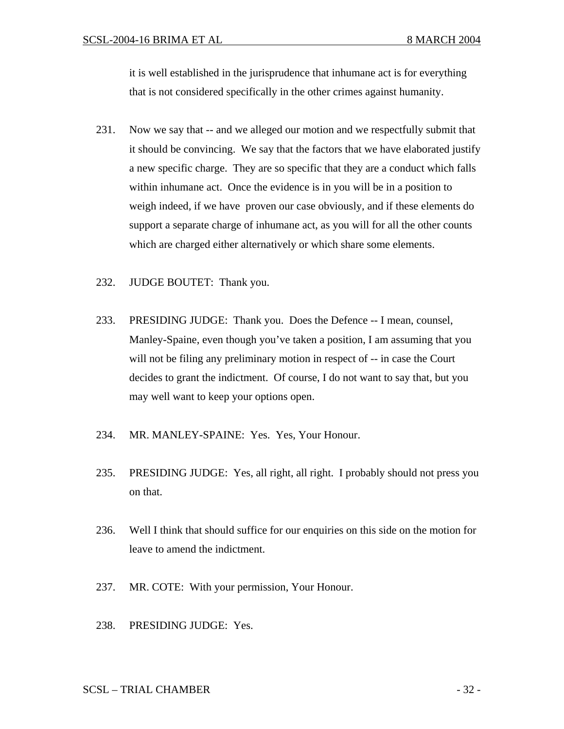it is well established in the jurisprudence that inhumane act is for everything that is not considered specifically in the other crimes against humanity.

- 231. Now we say that -- and we alleged our motion and we respectfully submit that it should be convincing. We say that the factors that we have elaborated justify a new specific charge. They are so specific that they are a conduct which falls within inhumane act. Once the evidence is in you will be in a position to weigh indeed, if we have proven our case obviously, and if these elements do support a separate charge of inhumane act, as you will for all the other counts which are charged either alternatively or which share some elements.
- 232. JUDGE BOUTET: Thank you.
- 233. PRESIDING JUDGE: Thank you. Does the Defence -- I mean, counsel, Manley-Spaine, even though you've taken a position, I am assuming that you will not be filing any preliminary motion in respect of -- in case the Court decides to grant the indictment. Of course, I do not want to say that, but you may well want to keep your options open.
- 234. MR. MANLEY-SPAINE: Yes. Yes, Your Honour.
- 235. PRESIDING JUDGE: Yes, all right, all right. I probably should not press you on that.
- 236. Well I think that should suffice for our enquiries on this side on the motion for leave to amend the indictment.
- 237. MR. COTE: With your permission, Your Honour.
- 238. PRESIDING JUDGE: Yes.

## SCSL – TRIAL CHAMBER - 32 -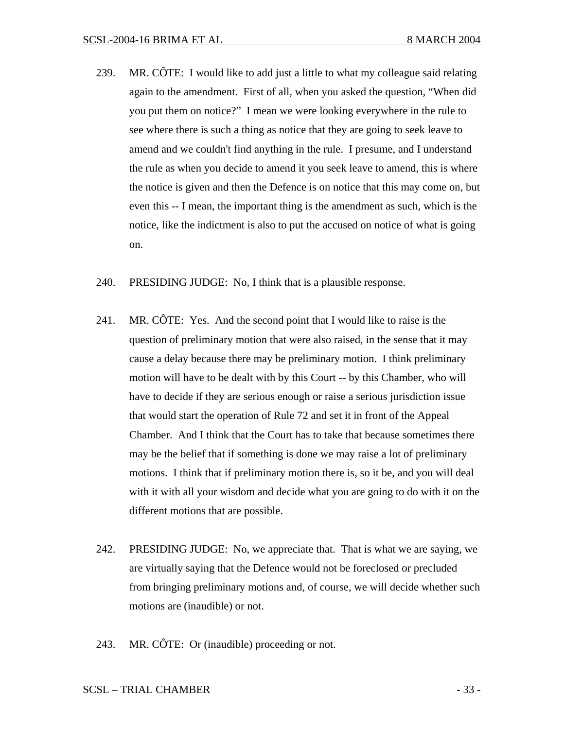- 239. MR. CÔTE: I would like to add just a little to what my colleague said relating again to the amendment. First of all, when you asked the question, "When did you put them on notice?" I mean we were looking everywhere in the rule to see where there is such a thing as notice that they are going to seek leave to amend and we couldn't find anything in the rule. I presume, and I understand the rule as when you decide to amend it you seek leave to amend, this is where the notice is given and then the Defence is on notice that this may come on, but even this -- I mean, the important thing is the amendment as such, which is the notice, like the indictment is also to put the accused on notice of what is going on.
- 240. PRESIDING JUDGE: No, I think that is a plausible response.
- 241. MR. CÔTE: Yes. And the second point that I would like to raise is the question of preliminary motion that were also raised, in the sense that it may cause a delay because there may be preliminary motion. I think preliminary motion will have to be dealt with by this Court -- by this Chamber, who will have to decide if they are serious enough or raise a serious jurisdiction issue that would start the operation of Rule 72 and set it in front of the Appeal Chamber. And I think that the Court has to take that because sometimes there may be the belief that if something is done we may raise a lot of preliminary motions. I think that if preliminary motion there is, so it be, and you will deal with it with all your wisdom and decide what you are going to do with it on the different motions that are possible.
- 242. PRESIDING JUDGE: No, we appreciate that. That is what we are saying, we are virtually saying that the Defence would not be foreclosed or precluded from bringing preliminary motions and, of course, we will decide whether such motions are (inaudible) or not.
- 243. MR. CÔTE: Or (inaudible) proceeding or not.

#### SCSL – TRIAL CHAMBER - 33 -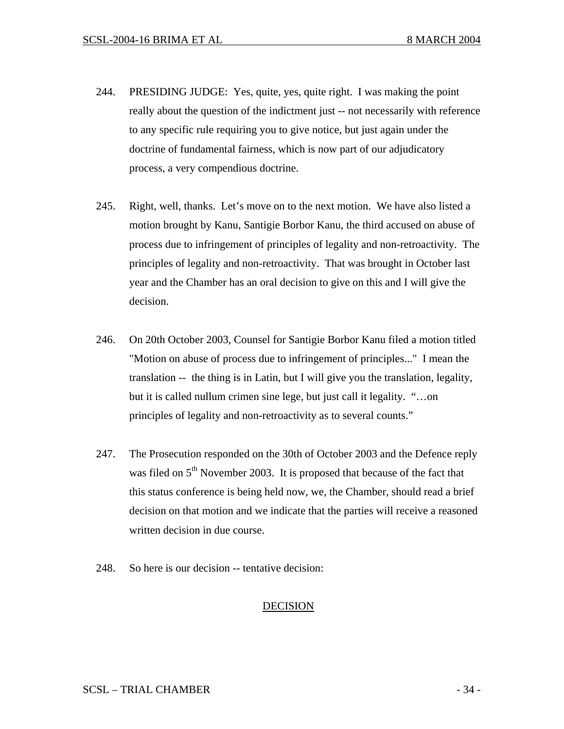- 244. PRESIDING JUDGE: Yes, quite, yes, quite right. I was making the point really about the question of the indictment just -- not necessarily with reference to any specific rule requiring you to give notice, but just again under the doctrine of fundamental fairness, which is now part of our adjudicatory process, a very compendious doctrine.
- 245. Right, well, thanks. Let's move on to the next motion. We have also listed a motion brought by Kanu, Santigie Borbor Kanu, the third accused on abuse of process due to infringement of principles of legality and non-retroactivity. The principles of legality and non-retroactivity. That was brought in October last year and the Chamber has an oral decision to give on this and I will give the decision.
- 246. On 20th October 2003, Counsel for Santigie Borbor Kanu filed a motion titled "Motion on abuse of process due to infringement of principles..." I mean the translation -- the thing is in Latin, but I will give you the translation, legality, but it is called nullum crimen sine lege, but just call it legality. "…on principles of legality and non-retroactivity as to several counts."
- 247. The Prosecution responded on the 30th of October 2003 and the Defence reply was filed on  $5<sup>th</sup>$  November 2003. It is proposed that because of the fact that this status conference is being held now, we, the Chamber, should read a brief decision on that motion and we indicate that the parties will receive a reasoned written decision in due course.
- 248. So here is our decision -- tentative decision:

# DECISION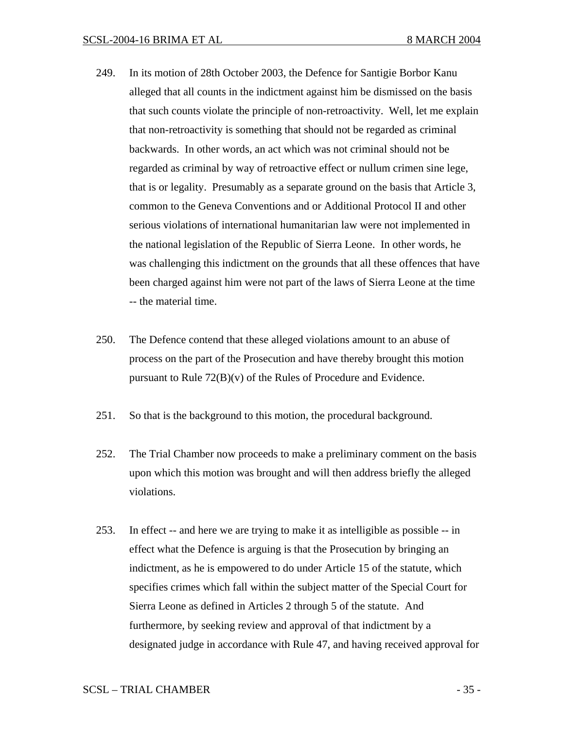- 249. In its motion of 28th October 2003, the Defence for Santigie Borbor Kanu alleged that all counts in the indictment against him be dismissed on the basis that such counts violate the principle of non-retroactivity. Well, let me explain that non-retroactivity is something that should not be regarded as criminal backwards. In other words, an act which was not criminal should not be regarded as criminal by way of retroactive effect or nullum crimen sine lege, that is or legality. Presumably as a separate ground on the basis that Article 3, common to the Geneva Conventions and or Additional Protocol II and other serious violations of international humanitarian law were not implemented in the national legislation of the Republic of Sierra Leone. In other words, he was challenging this indictment on the grounds that all these offences that have been charged against him were not part of the laws of Sierra Leone at the time -- the material time.
- 250. The Defence contend that these alleged violations amount to an abuse of process on the part of the Prosecution and have thereby brought this motion pursuant to Rule  $72(B)(v)$  of the Rules of Procedure and Evidence.
- 251. So that is the background to this motion, the procedural background.
- 252. The Trial Chamber now proceeds to make a preliminary comment on the basis upon which this motion was brought and will then address briefly the alleged violations.
- 253. In effect -- and here we are trying to make it as intelligible as possible -- in effect what the Defence is arguing is that the Prosecution by bringing an indictment, as he is empowered to do under Article 15 of the statute, which specifies crimes which fall within the subject matter of the Special Court for Sierra Leone as defined in Articles 2 through 5 of the statute. And furthermore, by seeking review and approval of that indictment by a designated judge in accordance with Rule 47, and having received approval for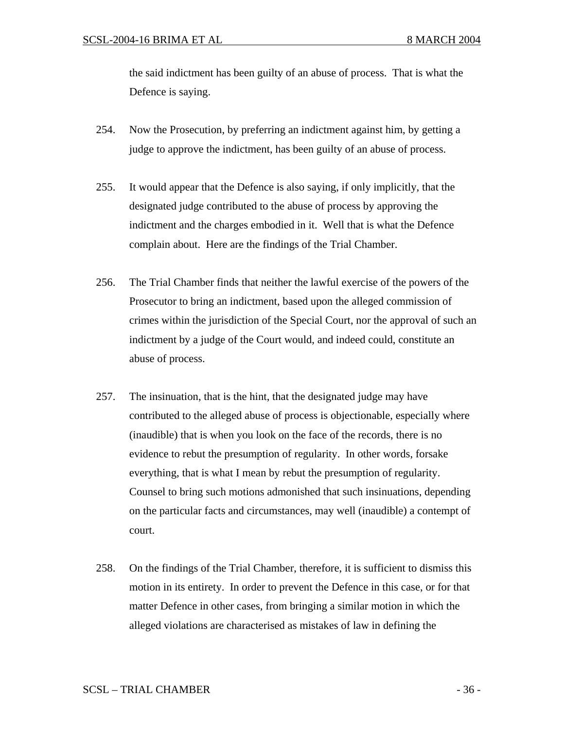the said indictment has been guilty of an abuse of process. That is what the Defence is saying.

- 254. Now the Prosecution, by preferring an indictment against him, by getting a judge to approve the indictment, has been guilty of an abuse of process.
- 255. It would appear that the Defence is also saying, if only implicitly, that the designated judge contributed to the abuse of process by approving the indictment and the charges embodied in it. Well that is what the Defence complain about. Here are the findings of the Trial Chamber.
- 256. The Trial Chamber finds that neither the lawful exercise of the powers of the Prosecutor to bring an indictment, based upon the alleged commission of crimes within the jurisdiction of the Special Court, nor the approval of such an indictment by a judge of the Court would, and indeed could, constitute an abuse of process.
- 257. The insinuation, that is the hint, that the designated judge may have contributed to the alleged abuse of process is objectionable, especially where (inaudible) that is when you look on the face of the records, there is no evidence to rebut the presumption of regularity. In other words, forsake everything, that is what I mean by rebut the presumption of regularity. Counsel to bring such motions admonished that such insinuations, depending on the particular facts and circumstances, may well (inaudible) a contempt of court.
- 258. On the findings of the Trial Chamber, therefore, it is sufficient to dismiss this motion in its entirety. In order to prevent the Defence in this case, or for that matter Defence in other cases, from bringing a similar motion in which the alleged violations are characterised as mistakes of law in defining the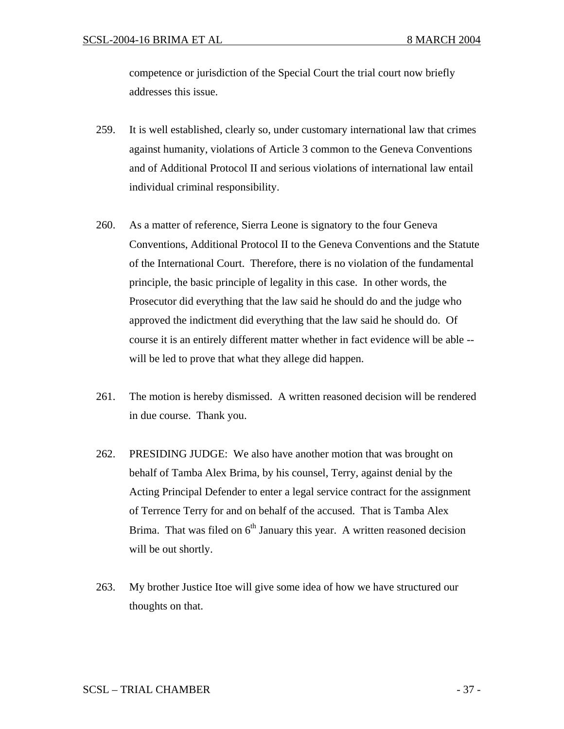competence or jurisdiction of the Special Court the trial court now briefly addresses this issue.

- 259. It is well established, clearly so, under customary international law that crimes against humanity, violations of Article 3 common to the Geneva Conventions and of Additional Protocol II and serious violations of international law entail individual criminal responsibility.
- 260. As a matter of reference, Sierra Leone is signatory to the four Geneva Conventions, Additional Protocol II to the Geneva Conventions and the Statute of the International Court. Therefore, there is no violation of the fundamental principle, the basic principle of legality in this case. In other words, the Prosecutor did everything that the law said he should do and the judge who approved the indictment did everything that the law said he should do. Of course it is an entirely different matter whether in fact evidence will be able - will be led to prove that what they allege did happen.
- 261. The motion is hereby dismissed. A written reasoned decision will be rendered in due course. Thank you.
- 262. PRESIDING JUDGE: We also have another motion that was brought on behalf of Tamba Alex Brima, by his counsel, Terry, against denial by the Acting Principal Defender to enter a legal service contract for the assignment of Terrence Terry for and on behalf of the accused. That is Tamba Alex Brima. That was filed on  $6<sup>th</sup>$  January this year. A written reasoned decision will be out shortly.
- 263. My brother Justice Itoe will give some idea of how we have structured our thoughts on that.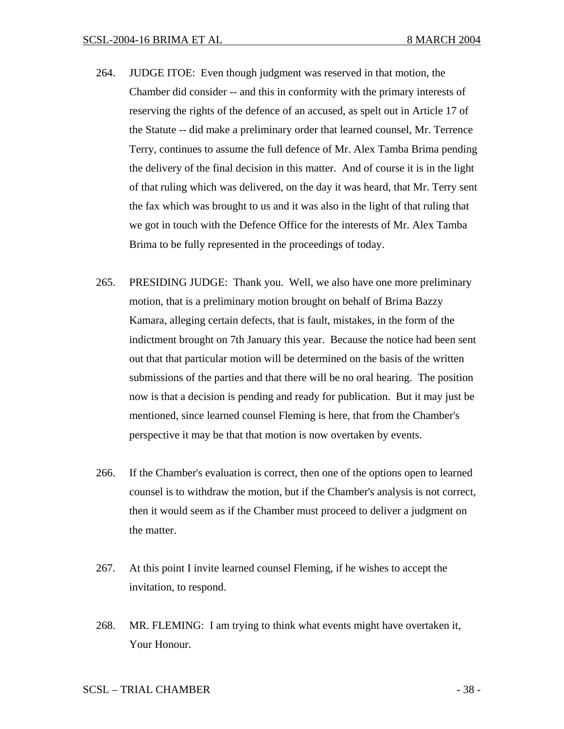- 264. JUDGE ITOE: Even though judgment was reserved in that motion, the Chamber did consider -- and this in conformity with the primary interests of reserving the rights of the defence of an accused, as spelt out in Article 17 of the Statute -- did make a preliminary order that learned counsel, Mr. Terrence Terry, continues to assume the full defence of Mr. Alex Tamba Brima pending the delivery of the final decision in this matter. And of course it is in the light of that ruling which was delivered, on the day it was heard, that Mr. Terry sent the fax which was brought to us and it was also in the light of that ruling that we got in touch with the Defence Office for the interests of Mr. Alex Tamba Brima to be fully represented in the proceedings of today.
- 265. PRESIDING JUDGE: Thank you. Well, we also have one more preliminary motion, that is a preliminary motion brought on behalf of Brima Bazzy Kamara, alleging certain defects, that is fault, mistakes, in the form of the indictment brought on 7th January this year. Because the notice had been sent out that that particular motion will be determined on the basis of the written submissions of the parties and that there will be no oral hearing. The position now is that a decision is pending and ready for publication. But it may just be mentioned, since learned counsel Fleming is here, that from the Chamber's perspective it may be that that motion is now overtaken by events.
- 266. If the Chamber's evaluation is correct, then one of the options open to learned counsel is to withdraw the motion, but if the Chamber's analysis is not correct, then it would seem as if the Chamber must proceed to deliver a judgment on the matter.
- 267. At this point I invite learned counsel Fleming, if he wishes to accept the invitation, to respond.
- 268. MR. FLEMING: I am trying to think what events might have overtaken it, Your Honour.

SCSL – TRIAL CHAMBER - 38 -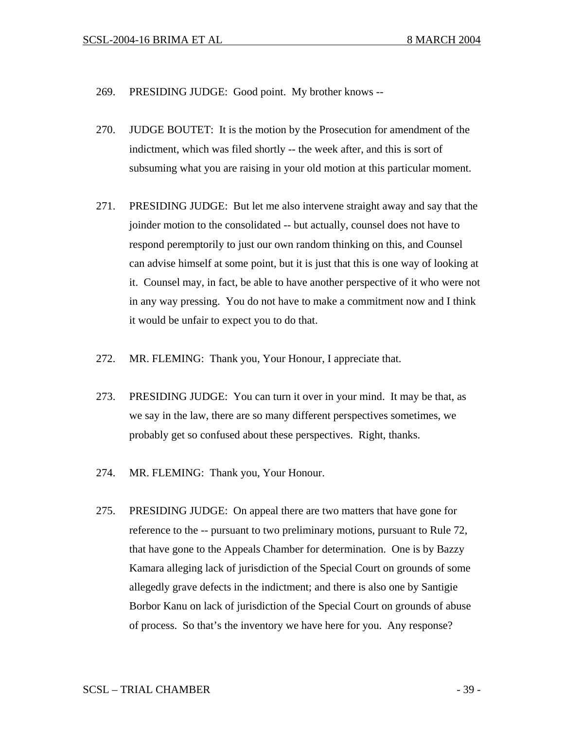- 269. PRESIDING JUDGE: Good point. My brother knows --
- 270. JUDGE BOUTET: It is the motion by the Prosecution for amendment of the indictment, which was filed shortly -- the week after, and this is sort of subsuming what you are raising in your old motion at this particular moment.
- 271. PRESIDING JUDGE: But let me also intervene straight away and say that the joinder motion to the consolidated -- but actually, counsel does not have to respond peremptorily to just our own random thinking on this, and Counsel can advise himself at some point, but it is just that this is one way of looking at it. Counsel may, in fact, be able to have another perspective of it who were not in any way pressing. You do not have to make a commitment now and I think it would be unfair to expect you to do that.
- 272. MR. FLEMING: Thank you, Your Honour, I appreciate that.
- 273. PRESIDING JUDGE: You can turn it over in your mind. It may be that, as we say in the law, there are so many different perspectives sometimes, we probably get so confused about these perspectives. Right, thanks.
- 274. MR. FLEMING: Thank you, Your Honour.
- 275. PRESIDING JUDGE: On appeal there are two matters that have gone for reference to the -- pursuant to two preliminary motions, pursuant to Rule 72, that have gone to the Appeals Chamber for determination. One is by Bazzy Kamara alleging lack of jurisdiction of the Special Court on grounds of some allegedly grave defects in the indictment; and there is also one by Santigie Borbor Kanu on lack of jurisdiction of the Special Court on grounds of abuse of process. So that's the inventory we have here for you. Any response?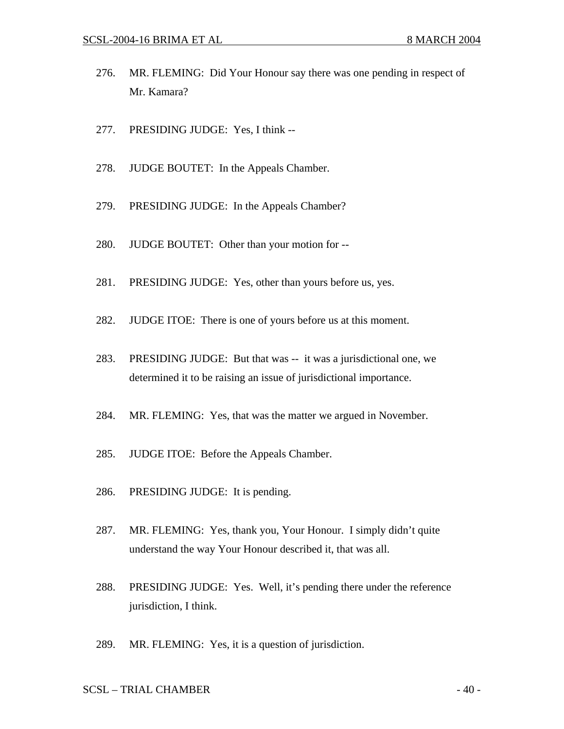- 276. MR. FLEMING: Did Your Honour say there was one pending in respect of Mr. Kamara?
- 277. PRESIDING JUDGE: Yes, I think --
- 278. JUDGE BOUTET: In the Appeals Chamber.
- 279. PRESIDING JUDGE: In the Appeals Chamber?
- 280. JUDGE BOUTET: Other than your motion for --
- 281. PRESIDING JUDGE: Yes, other than yours before us, yes.
- 282. JUDGE ITOE: There is one of yours before us at this moment.
- 283. PRESIDING JUDGE: But that was -- it was a jurisdictional one, we determined it to be raising an issue of jurisdictional importance.
- 284. MR. FLEMING: Yes, that was the matter we argued in November.
- 285. JUDGE ITOE: Before the Appeals Chamber.
- 286. PRESIDING JUDGE: It is pending.
- 287. MR. FLEMING: Yes, thank you, Your Honour. I simply didn't quite understand the way Your Honour described it, that was all.
- 288. PRESIDING JUDGE: Yes. Well, it's pending there under the reference jurisdiction, I think.
- 289. MR. FLEMING: Yes, it is a question of jurisdiction.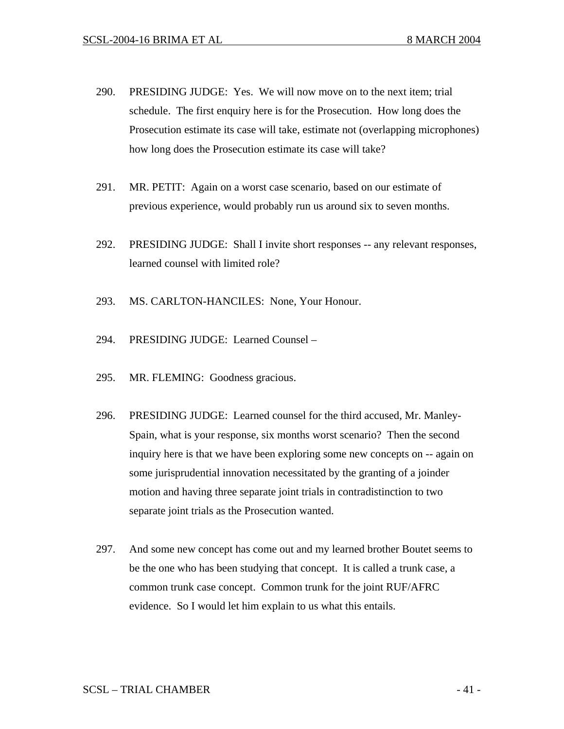- 290. PRESIDING JUDGE: Yes. We will now move on to the next item; trial schedule. The first enquiry here is for the Prosecution. How long does the Prosecution estimate its case will take, estimate not (overlapping microphones) how long does the Prosecution estimate its case will take?
- 291. MR. PETIT: Again on a worst case scenario, based on our estimate of previous experience, would probably run us around six to seven months.
- 292. PRESIDING JUDGE: Shall I invite short responses -- any relevant responses, learned counsel with limited role?
- 293. MS. CARLTON-HANCILES: None, Your Honour.
- 294. PRESIDING JUDGE: Learned Counsel –
- 295. MR. FLEMING: Goodness gracious.
- 296. PRESIDING JUDGE: Learned counsel for the third accused, Mr. Manley-Spain, what is your response, six months worst scenario? Then the second inquiry here is that we have been exploring some new concepts on -- again on some jurisprudential innovation necessitated by the granting of a joinder motion and having three separate joint trials in contradistinction to two separate joint trials as the Prosecution wanted.
- 297. And some new concept has come out and my learned brother Boutet seems to be the one who has been studying that concept. It is called a trunk case, a common trunk case concept. Common trunk for the joint RUF/AFRC evidence. So I would let him explain to us what this entails.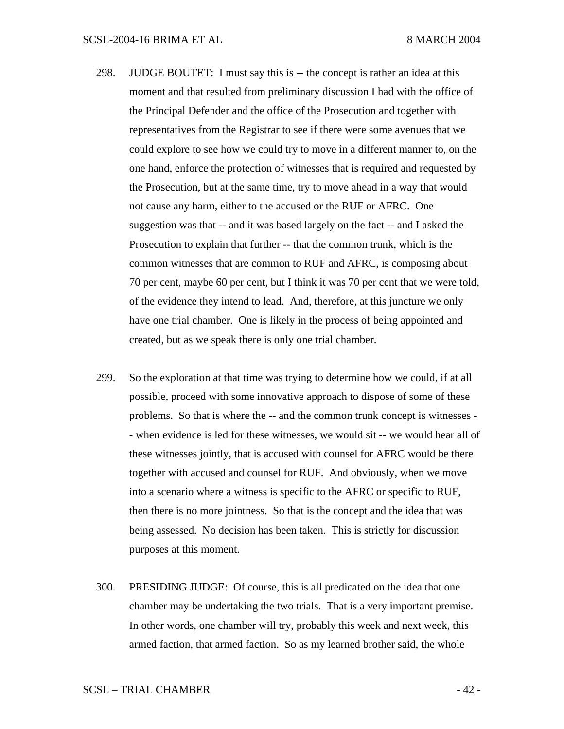- 298. JUDGE BOUTET: I must say this is -- the concept is rather an idea at this moment and that resulted from preliminary discussion I had with the office of the Principal Defender and the office of the Prosecution and together with representatives from the Registrar to see if there were some avenues that we could explore to see how we could try to move in a different manner to, on the one hand, enforce the protection of witnesses that is required and requested by the Prosecution, but at the same time, try to move ahead in a way that would not cause any harm, either to the accused or the RUF or AFRC. One suggestion was that -- and it was based largely on the fact -- and I asked the Prosecution to explain that further -- that the common trunk, which is the common witnesses that are common to RUF and AFRC, is composing about 70 per cent, maybe 60 per cent, but I think it was 70 per cent that we were told, of the evidence they intend to lead. And, therefore, at this juncture we only have one trial chamber. One is likely in the process of being appointed and created, but as we speak there is only one trial chamber.
- 299. So the exploration at that time was trying to determine how we could, if at all possible, proceed with some innovative approach to dispose of some of these problems. So that is where the -- and the common trunk concept is witnesses - - when evidence is led for these witnesses, we would sit -- we would hear all of these witnesses jointly, that is accused with counsel for AFRC would be there together with accused and counsel for RUF. And obviously, when we move into a scenario where a witness is specific to the AFRC or specific to RUF, then there is no more jointness. So that is the concept and the idea that was being assessed. No decision has been taken. This is strictly for discussion purposes at this moment.
- 300. PRESIDING JUDGE: Of course, this is all predicated on the idea that one chamber may be undertaking the two trials. That is a very important premise. In other words, one chamber will try, probably this week and next week, this armed faction, that armed faction. So as my learned brother said, the whole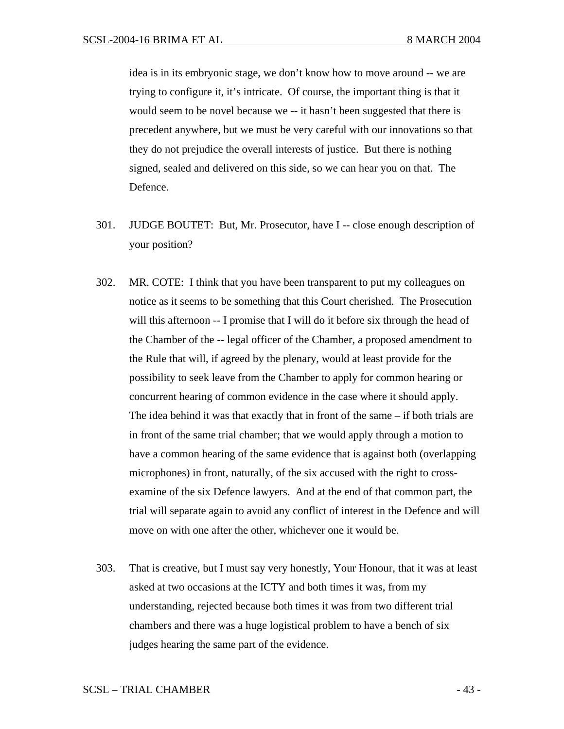idea is in its embryonic stage, we don't know how to move around -- we are trying to configure it, it's intricate. Of course, the important thing is that it would seem to be novel because we -- it hasn't been suggested that there is precedent anywhere, but we must be very careful with our innovations so that they do not prejudice the overall interests of justice. But there is nothing signed, sealed and delivered on this side, so we can hear you on that. The Defence.

- 301. JUDGE BOUTET: But, Mr. Prosecutor, have I -- close enough description of your position?
- 302. MR. COTE: I think that you have been transparent to put my colleagues on notice as it seems to be something that this Court cherished. The Prosecution will this afternoon -- I promise that I will do it before six through the head of the Chamber of the -- legal officer of the Chamber, a proposed amendment to the Rule that will, if agreed by the plenary, would at least provide for the possibility to seek leave from the Chamber to apply for common hearing or concurrent hearing of common evidence in the case where it should apply. The idea behind it was that exactly that in front of the same – if both trials are in front of the same trial chamber; that we would apply through a motion to have a common hearing of the same evidence that is against both (overlapping microphones) in front, naturally, of the six accused with the right to crossexamine of the six Defence lawyers. And at the end of that common part, the trial will separate again to avoid any conflict of interest in the Defence and will move on with one after the other, whichever one it would be.
- 303. That is creative, but I must say very honestly, Your Honour, that it was at least asked at two occasions at the ICTY and both times it was, from my understanding, rejected because both times it was from two different trial chambers and there was a huge logistical problem to have a bench of six judges hearing the same part of the evidence.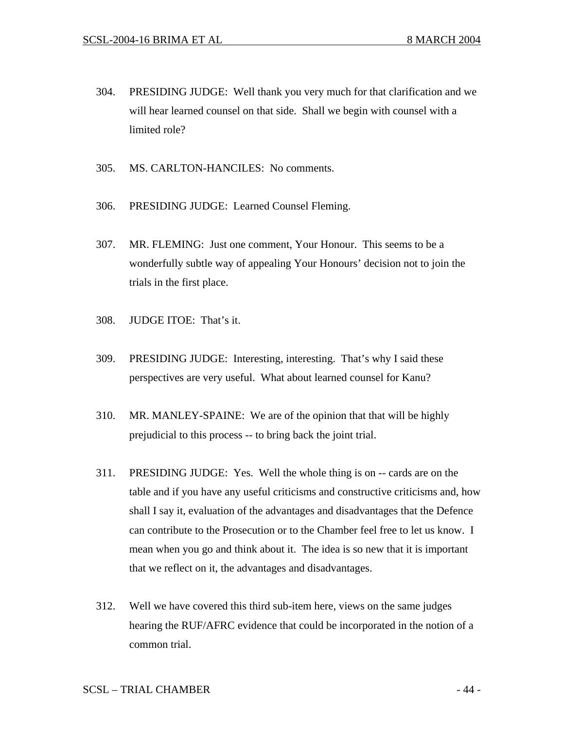- 304. PRESIDING JUDGE: Well thank you very much for that clarification and we will hear learned counsel on that side. Shall we begin with counsel with a limited role?
- 305. MS. CARLTON-HANCILES: No comments.
- 306. PRESIDING JUDGE: Learned Counsel Fleming.
- 307. MR. FLEMING: Just one comment, Your Honour. This seems to be a wonderfully subtle way of appealing Your Honours' decision not to join the trials in the first place.
- 308. JUDGE ITOE: That's it.
- 309. PRESIDING JUDGE: Interesting, interesting. That's why I said these perspectives are very useful. What about learned counsel for Kanu?
- 310. MR. MANLEY-SPAINE: We are of the opinion that that will be highly prejudicial to this process -- to bring back the joint trial.
- 311. PRESIDING JUDGE: Yes. Well the whole thing is on -- cards are on the table and if you have any useful criticisms and constructive criticisms and, how shall I say it, evaluation of the advantages and disadvantages that the Defence can contribute to the Prosecution or to the Chamber feel free to let us know. I mean when you go and think about it. The idea is so new that it is important that we reflect on it, the advantages and disadvantages.
- 312. Well we have covered this third sub-item here, views on the same judges hearing the RUF/AFRC evidence that could be incorporated in the notion of a common trial.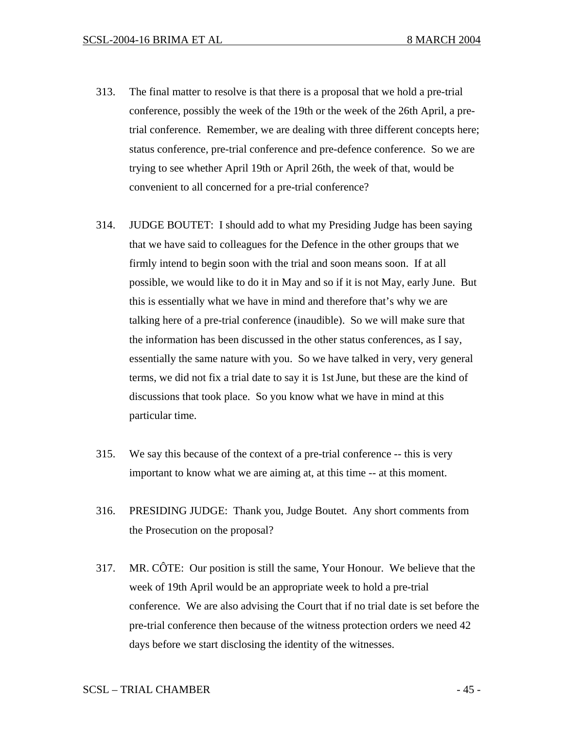- 313. The final matter to resolve is that there is a proposal that we hold a pre-trial conference, possibly the week of the 19th or the week of the 26th April, a pretrial conference. Remember, we are dealing with three different concepts here; status conference, pre-trial conference and pre-defence conference. So we are trying to see whether April 19th or April 26th, the week of that, would be convenient to all concerned for a pre-trial conference?
- 314. JUDGE BOUTET: I should add to what my Presiding Judge has been saying that we have said to colleagues for the Defence in the other groups that we firmly intend to begin soon with the trial and soon means soon. If at all possible, we would like to do it in May and so if it is not May, early June. But this is essentially what we have in mind and therefore that's why we are talking here of a pre-trial conference (inaudible). So we will make sure that the information has been discussed in the other status conferences, as I say, essentially the same nature with you. So we have talked in very, very general terms, we did not fix a trial date to say it is 1stJune, but these are the kind of discussions that took place. So you know what we have in mind at this particular time.
- 315. We say this because of the context of a pre-trial conference -- this is very important to know what we are aiming at, at this time -- at this moment.
- 316. PRESIDING JUDGE: Thank you, Judge Boutet. Any short comments from the Prosecution on the proposal?
- 317. MR. CÔTE: Our position is still the same, Your Honour. We believe that the week of 19th April would be an appropriate week to hold a pre-trial conference. We are also advising the Court that if no trial date is set before the pre-trial conference then because of the witness protection orders we need 42 days before we start disclosing the identity of the witnesses.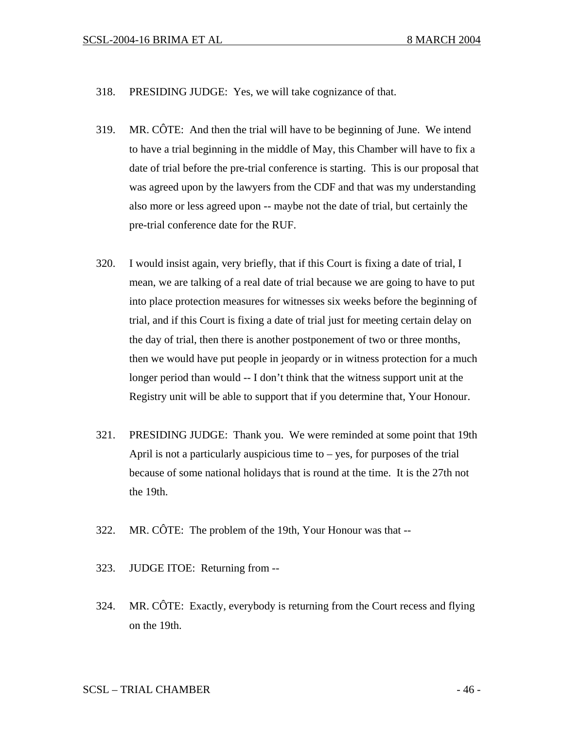- 318. PRESIDING JUDGE: Yes, we will take cognizance of that.
- 319. MR. CÔTE: And then the trial will have to be beginning of June. We intend to have a trial beginning in the middle of May, this Chamber will have to fix a date of trial before the pre-trial conference is starting. This is our proposal that was agreed upon by the lawyers from the CDF and that was my understanding also more or less agreed upon -- maybe not the date of trial, but certainly the pre-trial conference date for the RUF.
- 320. I would insist again, very briefly, that if this Court is fixing a date of trial, I mean, we are talking of a real date of trial because we are going to have to put into place protection measures for witnesses six weeks before the beginning of trial, and if this Court is fixing a date of trial just for meeting certain delay on the day of trial, then there is another postponement of two or three months, then we would have put people in jeopardy or in witness protection for a much longer period than would -- I don't think that the witness support unit at the Registry unit will be able to support that if you determine that, Your Honour.
- 321. PRESIDING JUDGE: Thank you. We were reminded at some point that 19th April is not a particularly auspicious time to  $-$  yes, for purposes of the trial because of some national holidays that is round at the time. It is the 27th not the 19th.
- 322. MR. CÔTE: The problem of the 19th, Your Honour was that --
- 323. JUDGE ITOE: Returning from --
- 324. MR. CÔTE: Exactly, everybody is returning from the Court recess and flying on the 19th.

SCSL – TRIAL CHAMBER  $-46$  -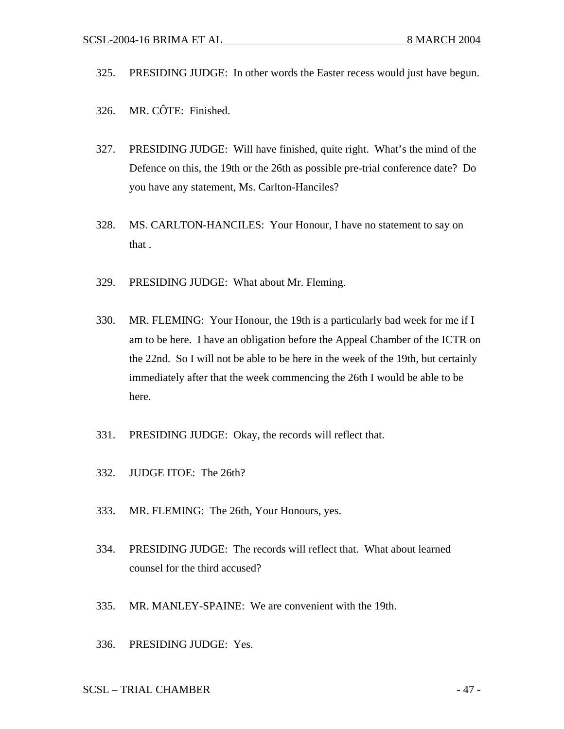- 325. PRESIDING JUDGE: In other words the Easter recess would just have begun.
- 326. MR. CÔTE: Finished.
- 327. PRESIDING JUDGE: Will have finished, quite right. What's the mind of the Defence on this, the 19th or the 26th as possible pre-trial conference date? Do you have any statement, Ms. Carlton-Hanciles?
- 328. MS. CARLTON-HANCILES: Your Honour, I have no statement to say on that .
- 329. PRESIDING JUDGE: What about Mr. Fleming.
- 330. MR. FLEMING: Your Honour, the 19th is a particularly bad week for me if I am to be here. I have an obligation before the Appeal Chamber of the ICTR on the 22nd. So I will not be able to be here in the week of the 19th, but certainly immediately after that the week commencing the 26th I would be able to be here.
- 331. PRESIDING JUDGE: Okay, the records will reflect that.
- 332. JUDGE ITOE: The 26th?
- 333. MR. FLEMING: The 26th, Your Honours, yes.
- 334. PRESIDING JUDGE: The records will reflect that. What about learned counsel for the third accused?
- 335. MR. MANLEY-SPAINE: We are convenient with the 19th.
- 336. PRESIDING JUDGE: Yes.

SCSL – TRIAL CHAMBER  $-47$  -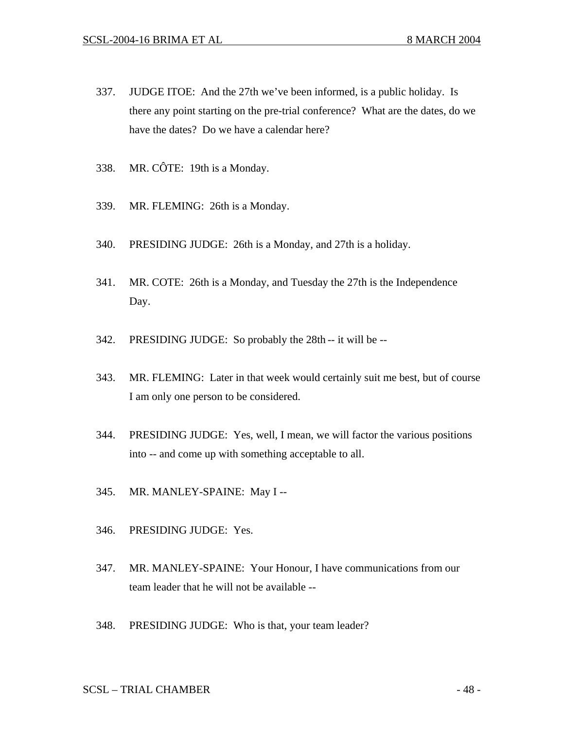- 337. JUDGE ITOE: And the 27th we've been informed, is a public holiday. Is there any point starting on the pre-trial conference? What are the dates, do we have the dates? Do we have a calendar here?
- 338. MR. CÔTE: 19th is a Monday.
- 339. MR. FLEMING: 26th is a Monday.
- 340. PRESIDING JUDGE: 26th is a Monday, and 27th is a holiday.
- 341. MR. COTE: 26th is a Monday, and Tuesday the 27th is the Independence Day.
- 342. PRESIDING JUDGE: So probably the 28th -- it will be --
- 343. MR. FLEMING: Later in that week would certainly suit me best, but of course I am only one person to be considered.
- 344. PRESIDING JUDGE: Yes, well, I mean, we will factor the various positions into -- and come up with something acceptable to all.
- 345. MR. MANLEY-SPAINE: May I --
- 346. PRESIDING JUDGE: Yes.
- 347. MR. MANLEY-SPAINE: Your Honour, I have communications from our team leader that he will not be available --
- 348. PRESIDING JUDGE: Who is that, your team leader?

SCSL – TRIAL CHAMBER  $-48$  -